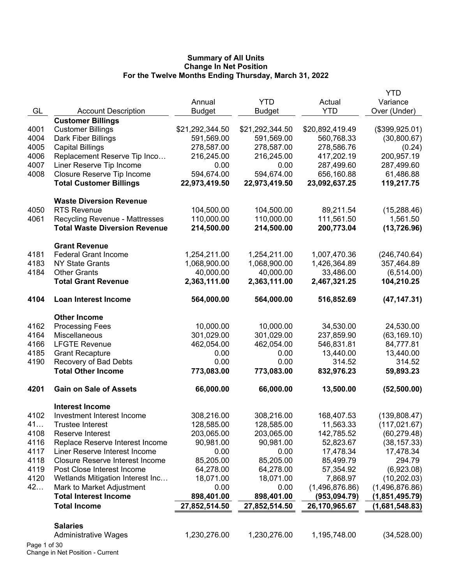|              |                                        |                 |                 |                 | <b>YTD</b>     |
|--------------|----------------------------------------|-----------------|-----------------|-----------------|----------------|
|              |                                        | Annual          | <b>YTD</b>      | Actual          | Variance       |
| GL           | <b>Account Description</b>             | <b>Budget</b>   | <b>Budget</b>   | <b>YTD</b>      | Over (Under)   |
|              | <b>Customer Billings</b>               |                 |                 |                 |                |
| 4001         | <b>Customer Billings</b>               | \$21,292,344.50 | \$21,292,344.50 | \$20,892,419.49 | (\$399,925.01) |
| 4004         | Dark Fiber Billings                    | 591,569.00      | 591,569.00      | 560,768.33      | (30,800.67)    |
| 4005         | <b>Capital Billings</b>                | 278,587.00      | 278,587.00      | 278,586.76      | (0.24)         |
| 4006         | Replacement Reserve Tip Inco           | 216,245.00      | 216,245.00      | 417,202.19      | 200,957.19     |
| 4007         | Liner Reserve Tip Income               | 0.00            | 0.00            | 287,499.60      | 287,499.60     |
| 4008         | Closure Reserve Tip Income             | 594,674.00      | 594,674.00      | 656,160.88      | 61,486.88      |
|              | <b>Total Customer Billings</b>         | 22,973,419.50   | 22,973,419.50   | 23,092,637.25   | 119,217.75     |
|              | <b>Waste Diversion Revenue</b>         |                 |                 |                 |                |
| 4050         | <b>RTS Revenue</b>                     | 104,500.00      | 104,500.00      | 89,211.54       | (15, 288.46)   |
| 4061         | <b>Recycling Revenue - Mattresses</b>  | 110,000.00      | 110,000.00      | 111,561.50      | 1,561.50       |
|              | <b>Total Waste Diversion Revenue</b>   | 214,500.00      | 214,500.00      | 200,773.04      | (13, 726.96)   |
|              | <b>Grant Revenue</b>                   |                 |                 |                 |                |
| 4181         | <b>Federal Grant Income</b>            | 1,254,211.00    | 1,254,211.00    | 1,007,470.36    | (246, 740.64)  |
| 4183         | <b>NY State Grants</b>                 | 1,068,900.00    | 1,068,900.00    | 1,426,364.89    | 357,464.89     |
| 4184         | <b>Other Grants</b>                    | 40,000.00       | 40,000.00       | 33,486.00       | (6, 514.00)    |
|              | <b>Total Grant Revenue</b>             | 2,363,111.00    | 2,363,111.00    | 2,467,321.25    | 104,210.25     |
| 4104         | <b>Loan Interest Income</b>            | 564,000.00      | 564,000.00      | 516,852.69      | (47, 147.31)   |
|              | <b>Other Income</b>                    |                 |                 |                 |                |
| 4162         | <b>Processing Fees</b>                 | 10,000.00       | 10,000.00       | 34,530.00       | 24,530.00      |
| 4164         | Miscellaneous                          | 301,029.00      | 301,029.00      | 237,859.90      | (63, 169.10)   |
| 4166         | <b>LFGTE Revenue</b>                   | 462,054.00      | 462,054.00      | 546,831.81      | 84,777.81      |
| 4185         | <b>Grant Recapture</b>                 | 0.00            | 0.00            | 13,440.00       | 13,440.00      |
| 4190         | Recovery of Bad Debts                  | 0.00            | 0.00            | 314.52          | 314.52         |
|              | <b>Total Other Income</b>              | 773,083.00      | 773,083.00      | 832,976.23      | 59,893.23      |
| 4201         | <b>Gain on Sale of Assets</b>          | 66,000.00       | 66,000.00       | 13,500.00       | (52, 500.00)   |
|              | <b>Interest Income</b>                 |                 |                 |                 |                |
| 4102         | Investment Interest Income             | 308,216.00      | 308,216.00      | 168,407.53      | (139, 808.47)  |
| 41           | <b>Trustee Interest</b>                | 128,585.00      | 128,585.00      | 11,563.33       | (117, 021.67)  |
| 4108         | Reserve Interest                       | 203,065.00      | 203,065.00      | 142,785.52      | (60, 279.48)   |
| 4116         | Replace Reserve Interest Income        | 90,981.00       | 90,981.00       | 52,823.67       | (38, 157.33)   |
| 4117         | Liner Reserve Interest Income          | 0.00            | 0.00            | 17,478.34       | 17,478.34      |
| 4118         | <b>Closure Reserve Interest Income</b> | 85,205.00       | 85,205.00       | 85,499.79       | 294.79         |
| 4119         | Post Close Interest Income             | 64,278.00       | 64,278.00       | 57,354.92       | (6,923.08)     |
| 4120         | Wetlands Mitigation Interest Inc       | 18,071.00       | 18,071.00       | 7,868.97        | (10, 202.03)   |
| 42           | Mark to Market Adjustment              | 0.00            | 0.00            | (1,496,876.86)  | (1,496,876.86) |
|              | <b>Total Interest Income</b>           | 898,401.00      | 898,401.00      | (953, 094.79)   | (1,851,495.79) |
|              | <b>Total Income</b>                    | 27,852,514.50   | 27,852,514.50   | 26,170,965.67   | (1,681,548.83) |
|              |                                        |                 |                 |                 |                |
|              | <b>Salaries</b>                        |                 |                 |                 |                |
|              | <b>Administrative Wages</b>            | 1,230,276.00    | 1,230,276.00    | 1,195,748.00    | (34, 528.00)   |
| Page 1 of 30 |                                        |                 |                 |                 |                |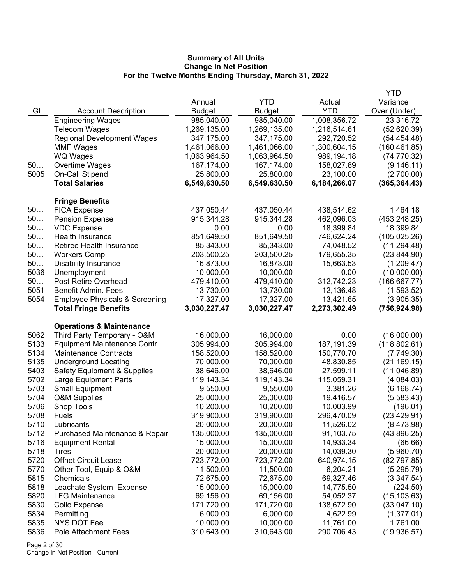|      |                                           |               |              |              | <b>YTD</b>    |
|------|-------------------------------------------|---------------|--------------|--------------|---------------|
|      |                                           | Annual        | <b>YTD</b>   | Actual       | Variance      |
| GL   | <b>Account Description</b>                | <b>Budget</b> | Budget       | <b>YTD</b>   | Over (Under)  |
|      | <b>Engineering Wages</b>                  | 985,040.00    | 985,040.00   | 1,008,356.72 | 23,316.72     |
|      | <b>Telecom Wages</b>                      | 1,269,135.00  | 1,269,135.00 | 1,216,514.61 | (52,620.39)   |
|      | <b>Regional Development Wages</b>         | 347,175.00    | 347,175.00   | 292,720.52   | (54, 454.48)  |
|      | <b>MMF Wages</b>                          | 1,461,066.00  | 1,461,066.00 | 1,300,604.15 | (160, 461.85) |
|      | WQ Wages                                  | 1,063,964.50  | 1,063,964.50 | 989,194.18   | (74, 770.32)  |
| 50   | Overtime Wages                            | 167,174.00    | 167,174.00   | 158,027.89   | (9, 146.11)   |
| 5005 | On-Call Stipend                           | 25,800.00     | 25,800.00    | 23,100.00    | (2,700.00)    |
|      | <b>Total Salaries</b>                     | 6,549,630.50  | 6,549,630.50 | 6,184,266.07 | (365, 364.43) |
|      | <b>Fringe Benefits</b>                    |               |              |              |               |
| 50   | <b>FICA Expense</b>                       | 437,050.44    | 437,050.44   | 438,514.62   | 1,464.18      |
| 50   | <b>Pension Expense</b>                    | 915,344.28    | 915,344.28   | 462,096.03   | (453, 248.25) |
| 50   | <b>VDC Expense</b>                        | 0.00          | 0.00         | 18,399.84    | 18,399.84     |
| 50   | Health Insurance                          | 851,649.50    | 851,649.50   | 746,624.24   | (105, 025.26) |
| 50   | Retiree Health Insurance                  | 85,343.00     | 85,343.00    | 74,048.52    | (11, 294.48)  |
| 50   | <b>Workers Comp</b>                       | 203,500.25    | 203,500.25   | 179,655.35   | (23, 844.90)  |
| 50   | <b>Disability Insurance</b>               | 16,873.00     | 16,873.00    | 15,663.53    | (1,209.47)    |
| 5036 | Unemployment                              | 10,000.00     | 10,000.00    | 0.00         | (10,000.00)   |
| 50   | Post Retire Overhead                      | 479,410.00    | 479,410.00   | 312,742.23   | (166, 667.77) |
| 5051 | <b>Benefit Admin. Fees</b>                | 13,730.00     | 13,730.00    | 12,136.48    | (1,593.52)    |
| 5054 | <b>Employee Physicals &amp; Screening</b> | 17,327.00     | 17,327.00    | 13,421.65    | (3,905.35)    |
|      | <b>Total Fringe Benefits</b>              | 3,030,227.47  | 3,030,227.47 | 2,273,302.49 | (756, 924.98) |
|      | <b>Operations &amp; Maintenance</b>       |               |              |              |               |
| 5062 | Third Party Temporary - O&M               | 16,000.00     | 16,000.00    | 0.00         | (16,000.00)   |
| 5133 | Equipment Maintenance Contr               | 305,994.00    | 305,994.00   | 187, 191.39  | (118, 802.61) |
| 5134 | <b>Maintenance Contracts</b>              | 158,520.00    | 158,520.00   | 150,770.70   | (7,749.30)    |
| 5135 | <b>Underground Locating</b>               | 70,000.00     | 70,000.00    | 48,830.85    | (21, 169.15)  |
| 5403 | <b>Safety Equipment &amp; Supplies</b>    | 38,646.00     | 38,646.00    | 27,599.11    | (11,046.89)   |
| 5702 | <b>Large Equipment Parts</b>              | 119,143.34    | 119,143.34   | 115,059.31   | (4,084.03)    |
| 5703 | <b>Small Equipment</b>                    | 9,550.00      | 9,550.00     | 3,381.26     | (6, 168.74)   |
| 5704 | <b>O&amp;M Supplies</b>                   | 25,000.00     | 25,000.00    | 19,416.57    | (5,583.43)    |
| 5706 | Shop Tools                                | 10,200.00     | 10,200.00    | 10,003.99    | (196.01)      |
| 5708 | Fuels                                     | 319,900.00    | 319,900.00   | 296,470.09   | (23, 429.91)  |
| 5710 | Lubricants                                | 20,000.00     | 20,000.00    | 11,526.02    | (8,473.98)    |
| 5712 | Purchased Maintenance & Repair            | 135,000.00    | 135,000.00   | 91,103.75    | (43,896.25)   |
| 5716 | <b>Equipment Rental</b>                   | 15,000.00     | 15,000.00    | 14,933.34    | (66.66)       |
| 5718 | Tires                                     | 20,000.00     | 20,000.00    | 14,039.30    | (5,960.70)    |
| 5720 | <b>Offnet Circuit Lease</b>               | 723,772.00    | 723,772.00   | 640,974.15   | (82,797.85)   |
| 5770 | Other Tool, Equip & O&M                   | 11,500.00     | 11,500.00    | 6,204.21     | (5, 295.79)   |
| 5815 | Chemicals                                 | 72,675.00     | 72,675.00    | 69,327.46    | (3,347.54)    |
| 5818 | Leachate System Expense                   | 15,000.00     | 15,000.00    | 14,775.50    | (224.50)      |
| 5820 | <b>LFG Maintenance</b>                    | 69,156.00     | 69,156.00    | 54,052.37    | (15, 103.63)  |
| 5830 | Collo Expense                             | 171,720.00    | 171,720.00   | 138,672.90   | (33,047.10)   |
| 5834 | Permitting                                | 6,000.00      | 6,000.00     | 4,622.99     | (1,377.01)    |
| 5835 | <b>NYS DOT Fee</b>                        | 10,000.00     | 10,000.00    | 11,761.00    | 1,761.00      |
| 5836 | Pole Attachment Fees                      | 310,643.00    | 310,643.00   | 290,706.43   | (19,936.57)   |

Page 2 of 30 Change in Net Position - Current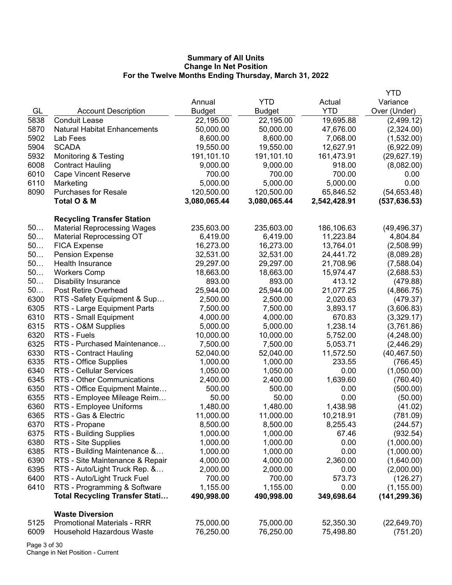|      |                                       |               |              |              | YTD           |
|------|---------------------------------------|---------------|--------------|--------------|---------------|
|      |                                       | Annual        | <b>YTD</b>   | Actual       | Variance      |
| GL   | <b>Account Description</b>            | <b>Budget</b> | Budget       | <b>YTD</b>   | Over (Under)  |
| 5838 | <b>Conduit Lease</b>                  | 22,195.00     | 22,195.00    | 19,695.88    | (2,499.12)    |
| 5870 | <b>Natural Habitat Enhancements</b>   | 50,000.00     | 50,000.00    | 47,676.00    | (2,324.00)    |
| 5902 | Lab Fees                              | 8,600.00      | 8,600.00     | 7,068.00     | (1,532.00)    |
| 5904 | <b>SCADA</b>                          | 19,550.00     | 19,550.00    | 12,627.91    | (6,922.09)    |
| 5932 | <b>Monitoring &amp; Testing</b>       | 191,101.10    | 191,101.10   | 161,473.91   | (29,627.19)   |
| 6008 | <b>Contract Hauling</b>               | 9,000.00      | 9,000.00     | 918.00       | (8,082.00)    |
| 6010 | <b>Cape Vincent Reserve</b>           | 700.00        | 700.00       | 700.00       | 0.00          |
| 6110 | Marketing                             | 5,000.00      | 5,000.00     | 5,000.00     | 0.00          |
| 8090 | <b>Purchases for Resale</b>           | 120,500.00    | 120,500.00   | 65,846.52    | (54, 653.48)  |
|      | Total O & M                           | 3,080,065.44  | 3,080,065.44 | 2,542,428.91 | (537, 636.53) |
|      | <b>Recycling Transfer Station</b>     |               |              |              |               |
| 50   | <b>Material Reprocessing Wages</b>    | 235,603.00    | 235,603.00   | 186,106.63   | (49, 496.37)  |
| 50   | <b>Material Reprocessing OT</b>       | 6,419.00      | 6,419.00     | 11,223.84    | 4,804.84      |
| 50   | <b>FICA Expense</b>                   | 16,273.00     | 16,273.00    | 13,764.01    | (2,508.99)    |
| 50   | <b>Pension Expense</b>                | 32,531.00     | 32,531.00    | 24,441.72    | (8,089.28)    |
| 50   | Health Insurance                      | 29,297.00     | 29,297.00    | 21,708.96    | (7,588.04)    |
| 50   | <b>Workers Comp</b>                   | 18,663.00     | 18,663.00    | 15,974.47    | (2,688.53)    |
| 50   | <b>Disability Insurance</b>           | 893.00        | 893.00       | 413.12       | (479.88)      |
| 50   | Post Retire Overhead                  | 25,944.00     | 25,944.00    | 21,077.25    | (4,866.75)    |
| 6300 | RTS-Safety Equipment & Sup            | 2,500.00      | 2,500.00     | 2,020.63     | (479.37)      |
| 6305 | RTS - Large Equipment Parts           | 7,500.00      | 7,500.00     | 3,893.17     | (3,606.83)    |
| 6310 | RTS - Small Equipment                 | 4,000.00      | 4,000.00     | 670.83       | (3,329.17)    |
| 6315 | RTS - O&M Supplies                    | 5,000.00      | 5,000.00     | 1,238.14     | (3,761.86)    |
| 6320 | RTS - Fuels                           | 10,000.00     | 10,000.00    | 5,752.00     | (4,248.00)    |
| 6325 | RTS - Purchased Maintenance           | 7,500.00      | 7,500.00     | 5,053.71     | (2,446.29)    |
| 6330 | <b>RTS - Contract Hauling</b>         | 52,040.00     | 52,040.00    | 11,572.50    | (40, 467.50)  |
| 6335 | RTS - Office Supplies                 | 1,000.00      | 1,000.00     | 233.55       | (766.45)      |
| 6340 | <b>RTS - Cellular Services</b>        | 1,050.00      | 1,050.00     | 0.00         | (1,050.00)    |
| 6345 | RTS - Other Communications            | 2,400.00      | 2,400.00     | 1,639.60     | (760.40)      |
| 6350 | RTS - Office Equipment Mainte         | 500.00        | 500.00       | 0.00         | (500.00)      |
| 6355 | RTS - Employee Mileage Reim           | 50.00         | 50.00        | 0.00         | (50.00)       |
| 6360 | RTS - Employee Uniforms               | 1,480.00      | 1,480.00     | 1,438.98     | (41.02)       |
| 6365 | RTS - Gas & Electric                  | 11,000.00     | 11,000.00    | 10,218.91    | (781.09)      |
| 6370 | RTS - Propane                         | 8,500.00      | 8,500.00     | 8,255.43     | (244.57)      |
| 6375 | <b>RTS - Building Supplies</b>        | 1,000.00      | 1,000.00     | 67.46        | (932.54)      |
| 6380 | RTS - Site Supplies                   | 1,000.00      | 1,000.00     | 0.00         | (1,000.00)    |
| 6385 | RTS - Building Maintenance &          | 1,000.00      | 1,000.00     | 0.00         | (1,000.00)    |
| 6390 | RTS - Site Maintenance & Repair       | 4,000.00      | 4,000.00     | 2,360.00     | (1,640.00)    |
| 6395 | RTS - Auto/Light Truck Rep. &         | 2,000.00      | 2,000.00     | 0.00         | (2,000.00)    |
| 6400 | RTS - Auto/Light Truck Fuel           | 700.00        | 700.00       | 573.73       | (126.27)      |
| 6410 | RTS - Programming & Software          | 1,155.00      | 1,155.00     | 0.00         | (1, 155.00)   |
|      | <b>Total Recycling Transfer Stati</b> | 490,998.00    | 490,998.00   | 349,698.64   | (141, 299.36) |
|      | <b>Waste Diversion</b>                |               |              |              |               |
| 5125 | <b>Promotional Materials - RRR</b>    | 75,000.00     | 75,000.00    | 52,350.30    | (22, 649.70)  |
| 6009 | <b>Household Hazardous Waste</b>      | 76,250.00     | 76,250.00    | 75,498.80    | (751.20)      |

Page 3 of 30 Change in Net Position - Current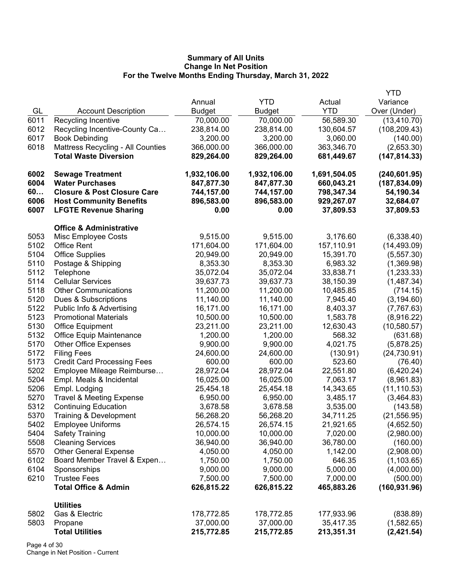|      |                                        |               |               |              | <b>YTD</b>    |
|------|----------------------------------------|---------------|---------------|--------------|---------------|
|      |                                        | Annual        | <b>YTD</b>    | Actual       | Variance      |
| GL   | <b>Account Description</b>             | <b>Budget</b> | <b>Budget</b> | <b>YTD</b>   | Over (Under)  |
| 6011 | Recycling Incentive                    | 70,000.00     | 70,000.00     | 56,589.30    | (13, 410.70)  |
| 6012 | Recycling Incentive-County Ca          | 238,814.00    | 238,814.00    | 130,604.57   | (108, 209.43) |
| 6017 | <b>Book Debinding</b>                  | 3,200.00      | 3,200.00      | 3,060.00     | (140.00)      |
| 6018 | Mattress Recycling - All Counties      | 366,000.00    | 366,000.00    | 363,346.70   | (2,653.30)    |
|      | <b>Total Waste Diversion</b>           | 829,264.00    | 829,264.00    | 681,449.67   | (147, 814.33) |
| 6002 | <b>Sewage Treatment</b>                | 1,932,106.00  | 1,932,106.00  | 1,691,504.05 | (240, 601.95) |
| 6004 | <b>Water Purchases</b>                 | 847,877.30    | 847,877.30    | 660,043.21   | (187, 834.09) |
| 60   | <b>Closure &amp; Post Closure Care</b> | 744,157.00    | 744,157.00    | 798,347.34   | 54,190.34     |
| 6006 | <b>Host Community Benefits</b>         | 896,583.00    | 896,583.00    | 929,267.07   | 32,684.07     |
| 6007 | <b>LFGTE Revenue Sharing</b>           | 0.00          | 0.00          | 37,809.53    | 37,809.53     |
|      | <b>Office &amp; Administrative</b>     |               |               |              |               |
| 5053 | <b>Misc Employee Costs</b>             | 9,515.00      | 9,515.00      | 3,176.60     | (6,338.40)    |
| 5102 | <b>Office Rent</b>                     | 171,604.00    | 171,604.00    | 157,110.91   | (14, 493.09)  |
| 5104 | <b>Office Supplies</b>                 | 20,949.00     | 20,949.00     | 15,391.70    | (5, 557.30)   |
| 5110 | Postage & Shipping                     | 8,353.30      | 8,353.30      | 6,983.32     | (1,369.98)    |
| 5112 | Telephone                              | 35,072.04     | 35,072.04     | 33,838.71    | (1,233.33)    |
| 5114 | <b>Cellular Services</b>               | 39,637.73     | 39,637.73     | 38,150.39    | (1,487.34)    |
| 5118 | <b>Other Communications</b>            | 11,200.00     | 11,200.00     | 10,485.85    | (714.15)      |
| 5120 | Dues & Subscriptions                   | 11,140.00     | 11,140.00     | 7,945.40     | (3, 194.60)   |
| 5122 | Public Info & Advertising              | 16,171.00     | 16,171.00     | 8,403.37     | (7,767.63)    |
| 5123 | <b>Promotional Materials</b>           | 10,500.00     | 10,500.00     | 1,583.78     | (8,916.22)    |
| 5130 | <b>Office Equipment</b>                | 23,211.00     | 23,211.00     | 12,630.43    | (10,580.57)   |
| 5132 | <b>Office Equip Maintenance</b>        | 1,200.00      | 1,200.00      | 568.32       | (631.68)      |
| 5170 | <b>Other Office Expenses</b>           | 9,900.00      | 9,900.00      | 4,021.75     | (5,878.25)    |
| 5172 | <b>Filing Fees</b>                     | 24,600.00     | 24,600.00     | (130.91)     | (24, 730.91)  |
| 5173 | <b>Credit Card Processing Fees</b>     | 600.00        | 600.00        | 523.60       | (76.40)       |
| 5202 | Employee Mileage Reimburse             | 28,972.04     | 28,972.04     | 22,551.80    | (6,420.24)    |
| 5204 | Empl. Meals & Incidental               | 16,025.00     | 16,025.00     | 7,063.17     | (8,961.83)    |
| 5206 | Empl. Lodging                          | 25,454.18     | 25,454.18     | 14,343.65    | (11, 110.53)  |
| 5270 | <b>Travel &amp; Meeting Expense</b>    | 6,950.00      | 6,950.00      | 3,485.17     | (3,464.83)    |
| 5312 | <b>Continuing Education</b>            | 3,678.58      | 3,678.58      | 3,535.00     | (143.58)      |
| 5370 | Training & Development                 | 56,268.20     | 56,268.20     | 34,711.25    | (21, 556.95)  |
| 5402 | <b>Employee Uniforms</b>               | 26,574.15     | 26,574.15     | 21,921.65    | (4,652.50)    |
| 5404 | <b>Safety Training</b>                 | 10,000.00     | 10,000.00     | 7,020.00     | (2,980.00)    |
| 5508 | <b>Cleaning Services</b>               | 36,940.00     | 36,940.00     | 36,780.00    | (160.00)      |
| 5570 | <b>Other General Expense</b>           | 4,050.00      | 4,050.00      | 1,142.00     | (2,908.00)    |
| 6102 | Board Member Travel & Expen            | 1,750.00      | 1,750.00      | 646.35       | (1, 103.65)   |
| 6104 | Sponsorships                           | 9,000.00      | 9,000.00      | 5,000.00     | (4,000.00)    |
| 6210 | <b>Trustee Fees</b>                    | 7,500.00      | 7,500.00      | 7,000.00     | (500.00)      |
|      | <b>Total Office &amp; Admin</b>        | 626,815.22    | 626,815.22    | 465,883.26   | (160, 931.96) |
|      | <b>Utilities</b>                       |               |               |              |               |
| 5802 | Gas & Electric                         | 178,772.85    | 178,772.85    | 177,933.96   | (838.89)      |
| 5803 | Propane                                | 37,000.00     | 37,000.00     | 35,417.35    | (1,582.65)    |
|      | <b>Total Utilities</b>                 | 215,772.85    | 215,772.85    | 213,351.31   | (2,421.54)    |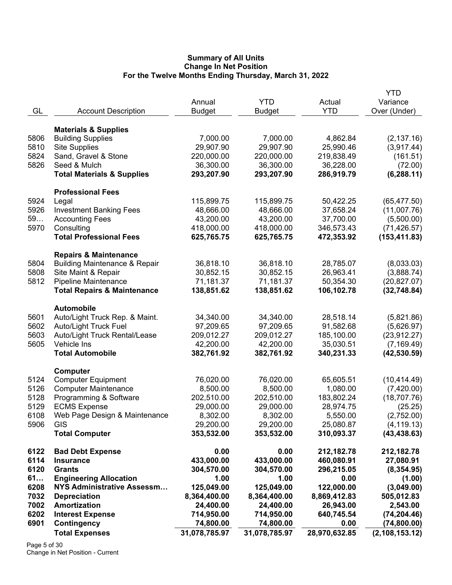|      |                                                                              | Annual        | <b>YTD</b>    | Actual        | YTD<br>Variance  |
|------|------------------------------------------------------------------------------|---------------|---------------|---------------|------------------|
| GL   | <b>Account Description</b>                                                   | <b>Budget</b> | <b>Budget</b> | <b>YTD</b>    | Over (Under)     |
|      |                                                                              |               |               |               |                  |
|      | <b>Materials &amp; Supplies</b>                                              |               |               |               |                  |
| 5806 | <b>Building Supplies</b>                                                     | 7,000.00      | 7,000.00      | 4,862.84      | (2, 137.16)      |
| 5810 | <b>Site Supplies</b>                                                         | 29,907.90     | 29,907.90     | 25,990.46     | (3,917.44)       |
| 5824 | Sand, Gravel & Stone                                                         | 220,000.00    | 220,000.00    | 219,838.49    | (161.51)         |
| 5826 | Seed & Mulch                                                                 | 36,300.00     | 36,300.00     | 36,228.00     | (72.00)          |
|      | <b>Total Materials &amp; Supplies</b>                                        | 293,207.90    | 293,207.90    | 286,919.79    | (6, 288.11)      |
|      | <b>Professional Fees</b>                                                     |               |               |               |                  |
| 5924 | Legal                                                                        | 115,899.75    | 115,899.75    | 50,422.25     | (65, 477.50)     |
| 5926 | <b>Investment Banking Fees</b>                                               | 48,666.00     | 48,666.00     | 37,658.24     | (11,007.76)      |
| 59   | <b>Accounting Fees</b>                                                       | 43,200.00     | 43,200.00     | 37,700.00     | (5,500.00)       |
| 5970 | Consulting                                                                   | 418,000.00    | 418,000.00    | 346,573.43    | (71, 426.57)     |
|      | <b>Total Professional Fees</b>                                               | 625,765.75    | 625,765.75    | 472,353.92    | (153, 411.83)    |
|      |                                                                              |               |               |               |                  |
| 5804 | <b>Repairs &amp; Maintenance</b><br><b>Building Maintenance &amp; Repair</b> | 36,818.10     | 36,818.10     | 28,785.07     | (8,033.03)       |
| 5808 | Site Maint & Repair                                                          | 30,852.15     | 30,852.15     | 26,963.41     |                  |
| 5812 | Pipeline Maintenance                                                         | 71,181.37     | 71,181.37     | 50,354.30     | (3,888.74)       |
|      | <b>Total Repairs &amp; Maintenance</b>                                       | 138,851.62    | 138,851.62    | 106,102.78    | (20, 827.07)     |
|      |                                                                              |               |               |               | (32,748.84)      |
|      | <b>Automobile</b>                                                            |               |               |               |                  |
| 5601 | Auto/Light Truck Rep. & Maint.                                               | 34,340.00     | 34,340.00     | 28,518.14     | (5,821.86)       |
| 5602 | <b>Auto/Light Truck Fuel</b>                                                 | 97,209.65     | 97,209.65     | 91,582.68     | (5,626.97)       |
| 5603 | Auto/Light Truck Rental/Lease                                                | 209,012.27    | 209,012.27    | 185,100.00    | (23, 912.27)     |
| 5605 | Vehicle Ins                                                                  | 42,200.00     | 42,200.00     | 35,030.51     | (7, 169.49)      |
|      | <b>Total Automobile</b>                                                      | 382,761.92    | 382,761.92    | 340,231.33    | (42, 530.59)     |
|      | <b>Computer</b>                                                              |               |               |               |                  |
| 5124 | <b>Computer Equipment</b>                                                    | 76,020.00     | 76,020.00     | 65,605.51     | (10, 414.49)     |
| 5126 | <b>Computer Maintenance</b>                                                  | 8,500.00      | 8,500.00      | 1,080.00      | (7,420.00)       |
| 5128 | Programming & Software                                                       | 202,510.00    | 202,510.00    | 183,802.24    | (18,707.76)      |
| 5129 | <b>ECMS Expense</b>                                                          | 29,000.00     | 29,000.00     | 28,974.75     | (25.25)          |
| 6108 | Web Page Design & Maintenance                                                | 8,302.00      | 8,302.00      | 5,550.00      | (2,752.00)       |
| 5906 | GIS                                                                          | 29,200.00     | 29,200.00     | 25,080.87     | (4, 119.13)      |
|      | <b>Total Computer</b>                                                        | 353,532.00    | 353,532.00    | 310,093.37    | (43, 438.63)     |
| 6122 | <b>Bad Debt Expense</b>                                                      | 0.00          | 0.00          | 212,182.78    | 212,182.78       |
| 6114 | <b>Insurance</b>                                                             | 433,000.00    | 433,000.00    | 460,080.91    | 27,080.91        |
| 6120 | <b>Grants</b>                                                                | 304,570.00    | 304,570.00    | 296,215.05    | (8,354.95)       |
| 61   | <b>Engineering Allocation</b>                                                | 1.00          | 1.00          | 0.00          | (1.00)           |
| 6208 | NYS Administrative Assessm                                                   | 125,049.00    | 125,049.00    | 122,000.00    | (3,049.00)       |
| 7032 | <b>Depreciation</b>                                                          | 8,364,400.00  | 8,364,400.00  | 8,869,412.83  | 505,012.83       |
| 7002 | Amortization                                                                 | 24,400.00     | 24,400.00     | 26,943.00     | 2,543.00         |
| 6202 | <b>Interest Expense</b>                                                      | 714,950.00    | 714,950.00    | 640,745.54    | (74, 204.46)     |
| 6901 | Contingency                                                                  | 74,800.00     | 74,800.00     | 0.00          | (74, 800.00)     |
|      | <b>Total Expenses</b>                                                        | 31,078,785.97 | 31,078,785.97 | 28,970,632.85 | (2, 108, 153.12) |
|      |                                                                              |               |               |               |                  |

Page 5 of 30 Change in Net Position - Current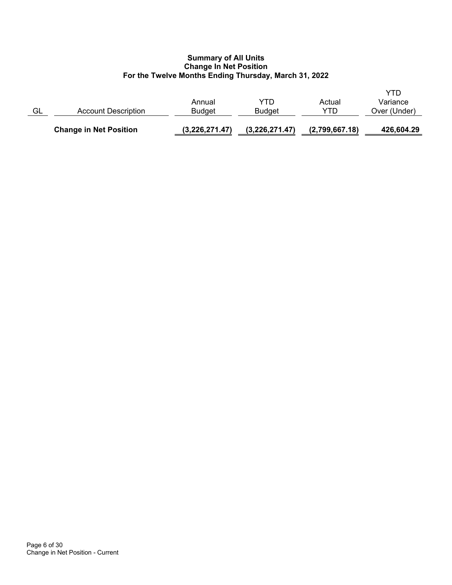|    | <b>Change in Net Position</b> | (3,226,271.47)          | (3,226,271.47) | (2,799,667.18) | 426,604.29                      |
|----|-------------------------------|-------------------------|----------------|----------------|---------------------------------|
| GL | Account Description           | Annual<br><b>Budget</b> | YTD<br>Budget  | Actual<br>YTD  | YTD<br>Variance<br>Over (Under) |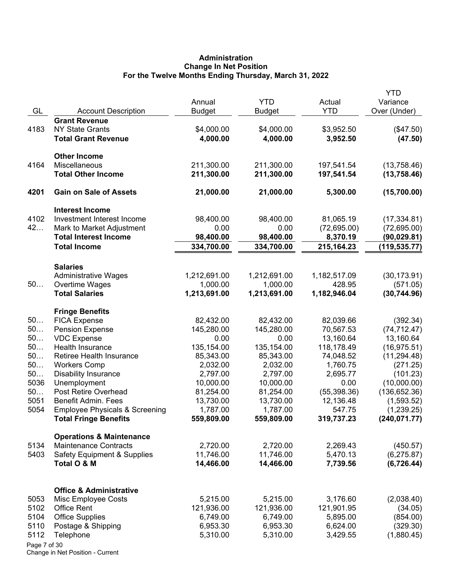# **Administration Change In Net Position For the Twelve Months Ending Thursday, March 31, 2022**

|              |                                                                           | Annual                 | <b>YTD</b>             | Actual               | <b>YTD</b><br>Variance      |
|--------------|---------------------------------------------------------------------------|------------------------|------------------------|----------------------|-----------------------------|
| GL           | <b>Account Description</b>                                                | <b>Budget</b>          | <b>Budget</b>          | YTD                  | Over (Under)                |
|              | <b>Grant Revenue</b>                                                      |                        |                        |                      |                             |
| 4183         | <b>NY State Grants</b>                                                    | \$4,000.00             | \$4,000.00             | \$3,952.50           | (\$47.50)                   |
|              | <b>Total Grant Revenue</b>                                                | 4,000.00               | 4,000.00               | 3,952.50             | (47.50)                     |
|              | <b>Other Income</b>                                                       |                        |                        |                      |                             |
| 4164         | Miscellaneous                                                             | 211,300.00             | 211,300.00             | 197,541.54           | (13,758.46)                 |
|              | <b>Total Other Income</b>                                                 | 211,300.00             | 211,300.00             | 197,541.54           | (13,758.46)                 |
| 4201         | <b>Gain on Sale of Assets</b>                                             | 21,000.00              | 21,000.00              | 5,300.00             | (15,700.00)                 |
|              | <b>Interest Income</b>                                                    |                        |                        |                      |                             |
| 4102         | Investment Interest Income                                                | 98,400.00              | 98,400.00              | 81,065.19            | (17, 334.81)                |
| 42           | Mark to Market Adjustment                                                 | 0.00                   | 0.00                   | (72,695.00)          | (72,695.00)                 |
|              | <b>Total Interest Income</b>                                              | 98,400.00              | 98,400.00              | 8,370.19             | (90,029.81)                 |
|              | <b>Total Income</b>                                                       | 334,700.00             | 334,700.00             | 215,164.23           | (119, 535.77)               |
|              | <b>Salaries</b>                                                           |                        |                        |                      |                             |
|              | <b>Administrative Wages</b>                                               | 1,212,691.00           | 1,212,691.00           | 1,182,517.09         | (30, 173.91)                |
| 50           | Overtime Wages                                                            | 1,000.00               | 1,000.00               | 428.95               | (571.05)                    |
|              | <b>Total Salaries</b>                                                     | 1,213,691.00           | 1,213,691.00           | 1,182,946.04         | (30, 744.96)                |
|              | <b>Fringe Benefits</b>                                                    |                        |                        |                      |                             |
| 50           | <b>FICA Expense</b>                                                       | 82,432.00              | 82,432.00              | 82,039.66            | (392.34)                    |
| 50           | <b>Pension Expense</b>                                                    | 145,280.00             | 145,280.00             | 70,567.53            | (74, 712.47)                |
| 50           | <b>VDC Expense</b>                                                        | 0.00                   | 0.00                   | 13,160.64            | 13,160.64                   |
| 50           | Health Insurance                                                          | 135,154.00             | 135,154.00             | 118,178.49           | (16, 975.51)                |
| 50           | Retiree Health Insurance                                                  | 85,343.00              | 85,343.00              | 74,048.52            | (11, 294.48)                |
| 50           | <b>Workers Comp</b>                                                       | 2,032.00               | 2,032.00               | 1,760.75             | (271.25)                    |
| 50           | <b>Disability Insurance</b>                                               | 2,797.00               | 2,797.00               | 2,695.77             | (101.23)                    |
| 5036         | Unemployment                                                              | 10,000.00              | 10,000.00              | 0.00                 | (10,000.00)                 |
| 50           | Post Retire Overhead                                                      | 81,254.00              | 81,254.00              | (55, 398.36)         | (136, 652.36)               |
| 5051<br>5054 | <b>Benefit Admin. Fees</b>                                                | 13,730.00              | 13,730.00              | 12,136.48<br>547.75  | (1,593.52)                  |
|              | <b>Employee Physicals &amp; Screening</b><br><b>Total Fringe Benefits</b> | 1,787.00<br>559,809.00 | 1,787.00<br>559,809.00 | 319,737.23           | (1,239.25)<br>(240, 071.77) |
|              | <b>Operations &amp; Maintenance</b>                                       |                        |                        |                      |                             |
| 5134         | <b>Maintenance Contracts</b>                                              | 2,720.00               | 2,720.00               | 2,269.43             | (450.57)                    |
| 5403         | <b>Safety Equipment &amp; Supplies</b>                                    | 11,746.00              | 11,746.00              | 5,470.13             | (6, 275.87)                 |
|              | Total O & M                                                               | 14,466.00              | 14,466.00              | 7,739.56             | (6, 726.44)                 |
|              |                                                                           |                        |                        |                      |                             |
|              | <b>Office &amp; Administrative</b>                                        |                        |                        |                      |                             |
| 5053         | Misc Employee Costs                                                       | 5,215.00               | 5,215.00               | 3,176.60             | (2,038.40)                  |
| 5102         | <b>Office Rent</b>                                                        | 121,936.00             | 121,936.00             | 121,901.95           | (34.05)                     |
| 5104         | <b>Office Supplies</b>                                                    | 6,749.00               | 6,749.00               | 5,895.00             | (854.00)                    |
| 5110<br>5112 | Postage & Shipping<br>Telephone                                           | 6,953.30<br>5,310.00   | 6,953.30<br>5,310.00   | 6,624.00<br>3,429.55 | (329.30)<br>(1,880.45)      |
| Page 7 of 30 |                                                                           |                        |                        |                      |                             |
|              |                                                                           |                        |                        |                      |                             |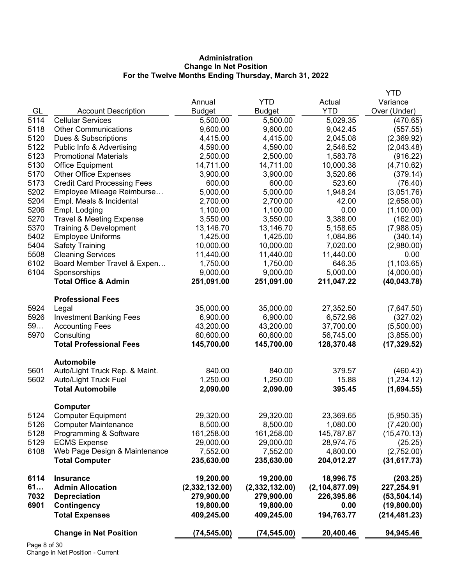# **Administration Change In Net Position For the Twelve Months Ending Thursday, March 31, 2022**

|      |                                     |                |                |                  | <b>YTD</b>    |
|------|-------------------------------------|----------------|----------------|------------------|---------------|
|      |                                     | Annual         | <b>YTD</b>     | Actual           | Variance      |
| GL   | <b>Account Description</b>          | <b>Budget</b>  | <b>Budget</b>  | <b>YTD</b>       | Over (Under)  |
| 5114 | <b>Cellular Services</b>            | 5,500.00       | 5,500.00       | 5,029.35         | (470.65)      |
| 5118 | <b>Other Communications</b>         | 9,600.00       | 9,600.00       | 9,042.45         | (557.55)      |
| 5120 | Dues & Subscriptions                | 4,415.00       | 4,415.00       | 2,045.08         | (2,369.92)    |
| 5122 | Public Info & Advertising           | 4,590.00       | 4,590.00       | 2,546.52         | (2,043.48)    |
| 5123 | <b>Promotional Materials</b>        | 2,500.00       | 2,500.00       | 1,583.78         | (916.22)      |
| 5130 | <b>Office Equipment</b>             | 14,711.00      | 14,711.00      | 10,000.38        | (4,710.62)    |
| 5170 | <b>Other Office Expenses</b>        | 3,900.00       | 3,900.00       | 3,520.86         | (379.14)      |
| 5173 | <b>Credit Card Processing Fees</b>  | 600.00         | 600.00         | 523.60           | (76.40)       |
| 5202 | Employee Mileage Reimburse          | 5,000.00       | 5,000.00       | 1,948.24         | (3,051.76)    |
| 5204 | Empl. Meals & Incidental            | 2,700.00       | 2,700.00       | 42.00            | (2,658.00)    |
| 5206 | Empl. Lodging                       | 1,100.00       | 1,100.00       | 0.00             | (1,100.00)    |
| 5270 | <b>Travel &amp; Meeting Expense</b> | 3,550.00       | 3,550.00       | 3,388.00         | (162.00)      |
| 5370 | Training & Development              | 13,146.70      | 13,146.70      | 5,158.65         | (7,988.05)    |
| 5402 | <b>Employee Uniforms</b>            | 1,425.00       | 1,425.00       | 1,084.86         | (340.14)      |
| 5404 | <b>Safety Training</b>              | 10,000.00      | 10,000.00      | 7,020.00         | (2,980.00)    |
| 5508 | <b>Cleaning Services</b>            | 11,440.00      | 11,440.00      | 11,440.00        | 0.00          |
| 6102 | Board Member Travel & Expen         | 1,750.00       | 1,750.00       | 646.35           | (1, 103.65)   |
| 6104 | Sponsorships                        | 9,000.00       | 9,000.00       | 5,000.00         | (4,000.00)    |
|      | <b>Total Office &amp; Admin</b>     | 251,091.00     | 251,091.00     | 211,047.22       | (40, 043.78)  |
|      | <b>Professional Fees</b>            |                |                |                  |               |
| 5924 | Legal                               | 35,000.00      | 35,000.00      | 27,352.50        | (7,647.50)    |
| 5926 | <b>Investment Banking Fees</b>      | 6,900.00       | 6,900.00       | 6,572.98         | (327.02)      |
| 59   | <b>Accounting Fees</b>              | 43,200.00      | 43,200.00      | 37,700.00        | (5,500.00)    |
| 5970 | Consulting                          | 60,600.00      | 60,600.00      | 56,745.00        | (3,855.00)    |
|      | <b>Total Professional Fees</b>      | 145,700.00     | 145,700.00     | 128,370.48       | (17, 329.52)  |
|      | <b>Automobile</b>                   |                |                |                  |               |
| 5601 | Auto/Light Truck Rep. & Maint.      | 840.00         | 840.00         | 379.57           | (460.43)      |
| 5602 | Auto/Light Truck Fuel               | 1,250.00       | 1,250.00       | 15.88            | (1,234.12)    |
|      | <b>Total Automobile</b>             | 2,090.00       | 2,090.00       | 395.45           | (1,694.55)    |
|      | Computer                            |                |                |                  |               |
| 5124 | <b>Computer Equipment</b>           | 29,320.00      | 29,320.00      | 23,369.65        | (5,950.35)    |
| 5126 | <b>Computer Maintenance</b>         | 8,500.00       | 8,500.00       | 1,080.00         | (7,420.00)    |
| 5128 | Programming & Software              | 161,258.00     | 161,258.00     | 145,787.87       | (15, 470.13)  |
| 5129 | <b>ECMS Expense</b>                 | 29,000.00      | 29,000.00      | 28,974.75        | (25.25)       |
| 6108 | Web Page Design & Maintenance       | 7,552.00       | 7,552.00       | 4,800.00         | (2,752.00)    |
|      | <b>Total Computer</b>               | 235,630.00     | 235,630.00     | 204,012.27       | (31, 617.73)  |
| 6114 | <b>Insurance</b>                    | 19,200.00      | 19,200.00      | 18,996.75        | (203.25)      |
| 61   | <b>Admin Allocation</b>             | (2,332,132.00) | (2,332,132.00) | (2, 104, 877.09) | 227,254.91    |
| 7032 | <b>Depreciation</b>                 | 279,900.00     | 279,900.00     | 226,395.86       | (53, 504.14)  |
| 6901 | Contingency                         | 19,800.00      | 19,800.00      | 0.00             | (19,800.00)   |
|      | <b>Total Expenses</b>               | 409,245.00     | 409,245.00     | 194,763.77       | (214, 481.23) |
|      | <b>Change in Net Position</b>       | (74, 545.00)   | (74, 545.00)   | 20,400.46        | 94,945.46     |
|      |                                     |                |                |                  |               |

Page 8 of 30 Change in Net Position - Current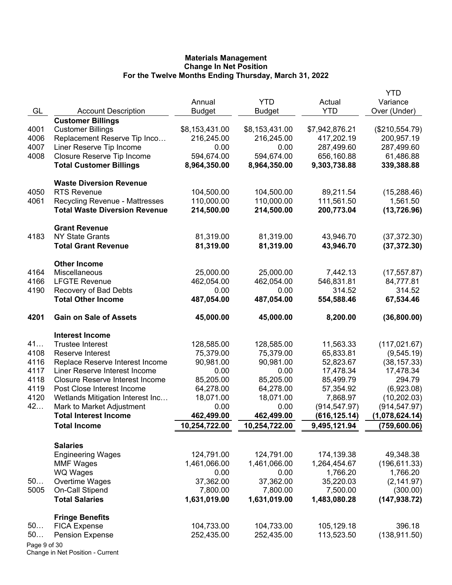|              |                                        |                |                |                | <b>YTD</b>     |
|--------------|----------------------------------------|----------------|----------------|----------------|----------------|
|              |                                        | Annual         | <b>YTD</b>     | Actual         | Variance       |
| GL           | <b>Account Description</b>             | <b>Budget</b>  | <b>Budget</b>  | <b>YTD</b>     | Over (Under)   |
|              | <b>Customer Billings</b>               |                |                |                |                |
| 4001         | <b>Customer Billings</b>               | \$8,153,431.00 | \$8,153,431.00 | \$7,942,876.21 | (\$210,554.79) |
| 4006         | Replacement Reserve Tip Inco           | 216,245.00     | 216,245.00     | 417,202.19     | 200,957.19     |
| 4007         | Liner Reserve Tip Income               | 0.00           | 0.00           | 287,499.60     | 287,499.60     |
| 4008         | Closure Reserve Tip Income             | 594,674.00     | 594,674.00     | 656,160.88     | 61,486.88      |
|              | <b>Total Customer Billings</b>         | 8,964,350.00   | 8,964,350.00   | 9,303,738.88   | 339,388.88     |
|              | <b>Waste Diversion Revenue</b>         |                |                |                |                |
| 4050         | <b>RTS Revenue</b>                     | 104,500.00     | 104,500.00     | 89,211.54      | (15, 288.46)   |
| 4061         | <b>Recycling Revenue - Mattresses</b>  | 110,000.00     | 110,000.00     | 111,561.50     | 1,561.50       |
|              | <b>Total Waste Diversion Revenue</b>   | 214,500.00     | 214,500.00     | 200,773.04     | (13, 726.96)   |
|              | <b>Grant Revenue</b>                   |                |                |                |                |
| 4183         | <b>NY State Grants</b>                 | 81,319.00      | 81,319.00      | 43,946.70      | (37, 372.30)   |
|              | <b>Total Grant Revenue</b>             | 81,319.00      | 81,319.00      | 43,946.70      | (37, 372.30)   |
|              | <b>Other Income</b>                    |                |                |                |                |
| 4164         | Miscellaneous                          | 25,000.00      | 25,000.00      | 7,442.13       | (17, 557.87)   |
| 4166         | <b>LFGTE Revenue</b>                   | 462,054.00     | 462,054.00     | 546,831.81     | 84,777.81      |
| 4190         | Recovery of Bad Debts                  | 0.00           | 0.00           | 314.52         | 314.52         |
|              | <b>Total Other Income</b>              | 487,054.00     | 487,054.00     | 554,588.46     | 67,534.46      |
| 4201         | <b>Gain on Sale of Assets</b>          | 45,000.00      | 45,000.00      | 8,200.00       | (36,800.00)    |
|              | <b>Interest Income</b>                 |                |                |                |                |
| 41           | <b>Trustee Interest</b>                | 128,585.00     | 128,585.00     | 11,563.33      | (117, 021.67)  |
| 4108         | Reserve Interest                       | 75,379.00      | 75,379.00      | 65,833.81      | (9,545.19)     |
| 4116         | Replace Reserve Interest Income        | 90,981.00      | 90,981.00      | 52,823.67      | (38, 157.33)   |
| 4117         | Liner Reserve Interest Income          | 0.00           | 0.00           | 17,478.34      | 17,478.34      |
| 4118         | <b>Closure Reserve Interest Income</b> | 85,205.00      | 85,205.00      | 85,499.79      | 294.79         |
| 4119         | Post Close Interest Income             | 64,278.00      | 64,278.00      | 57,354.92      | (6,923.08)     |
| 4120         | Wetlands Mitigation Interest Inc       | 18,071.00      | 18,071.00      | 7,868.97       | (10, 202.03)   |
| 42           | Mark to Market Adjustment              | 0.00           | 0.00           | (914, 547.97)  | (914, 547.97)  |
|              | <b>Total Interest Income</b>           | 462,499.00     | 462,499.00     | (616, 125.14)  | (1,078,624.14) |
|              | <b>Total Income</b>                    | 10,254,722.00  | 10,254,722.00  | 9,495,121.94   | (759, 600.06)  |
|              | <b>Salaries</b>                        |                |                |                |                |
|              | <b>Engineering Wages</b>               | 124,791.00     | 124,791.00     | 174,139.38     | 49,348.38      |
|              | <b>MMF Wages</b>                       | 1,461,066.00   | 1,461,066.00   | 1,264,454.67   | (196, 611.33)  |
|              | WQ Wages                               | 0.00           | 0.00           | 1,766.20       | 1,766.20       |
| 50           | Overtime Wages                         | 37,362.00      | 37,362.00      | 35,220.03      | (2, 141.97)    |
| 5005         | On-Call Stipend                        | 7,800.00       | 7,800.00       | 7,500.00       | (300.00)       |
|              | <b>Total Salaries</b>                  | 1,631,019.00   | 1,631,019.00   | 1,483,080.28   | (147, 938.72)  |
|              | <b>Fringe Benefits</b>                 |                |                |                |                |
| 50           | <b>FICA Expense</b>                    | 104,733.00     | 104,733.00     | 105,129.18     | 396.18         |
| 50           | <b>Pension Expense</b>                 | 252,435.00     | 252,435.00     | 113,523.50     | (138, 911.50)  |
| Page 9 of 30 |                                        |                |                |                |                |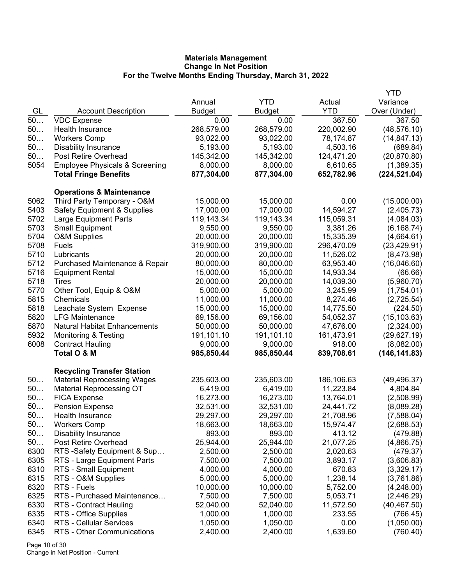|              |                                           |               |               |            | <b>YTD</b>                |
|--------------|-------------------------------------------|---------------|---------------|------------|---------------------------|
|              |                                           | Annual        | <b>YTD</b>    | Actual     | Variance                  |
| GL           | <b>Account Description</b>                | <b>Budget</b> | <b>Budget</b> | <b>YTD</b> | Over (Under)              |
| 50           | <b>VDC Expense</b>                        | 0.00          | 0.00          | 367.50     | 367.50                    |
| 50           | Health Insurance                          | 268,579.00    | 268,579.00    | 220,002.90 | (48, 576.10)              |
| 50           | <b>Workers Comp</b>                       | 93,022.00     | 93,022.00     | 78,174.87  | (14, 847.13)              |
| 50           | <b>Disability Insurance</b>               | 5,193.00      | 5,193.00      | 4,503.16   | (689.84)                  |
| 50           | Post Retire Overhead                      | 145,342.00    | 145,342.00    | 124,471.20 | (20, 870.80)              |
| 5054         | <b>Employee Physicals &amp; Screening</b> | 8,000.00      | 8,000.00      | 6,610.65   | (1,389.35)                |
|              | <b>Total Fringe Benefits</b>              | 877,304.00    | 877,304.00    | 652,782.96 | (224, 521.04)             |
|              | <b>Operations &amp; Maintenance</b>       |               |               |            |                           |
| 5062         | Third Party Temporary - O&M               | 15,000.00     | 15,000.00     | 0.00       | (15,000.00)               |
| 5403         | <b>Safety Equipment &amp; Supplies</b>    | 17,000.00     | 17,000.00     | 14,594.27  | (2,405.73)                |
| 5702         | Large Equipment Parts                     | 119,143.34    | 119,143.34    | 115,059.31 | (4,084.03)                |
| 5703         | <b>Small Equipment</b>                    | 9,550.00      | 9,550.00      | 3,381.26   | (6, 168.74)               |
| 5704         | <b>O&amp;M Supplies</b>                   | 20,000.00     | 20,000.00     | 15,335.39  | (4,664.61)                |
| 5708         | <b>Fuels</b>                              | 319,900.00    | 319,900.00    | 296,470.09 | (23, 429.91)              |
| 5710         | Lubricants                                | 20,000.00     | 20,000.00     | 11,526.02  |                           |
| 5712         |                                           | 80,000.00     | 80,000.00     | 63,953.40  | (8,473.98)<br>(16,046.60) |
| 5716         | Purchased Maintenance & Repair            |               |               |            |                           |
|              | <b>Equipment Rental</b><br><b>Tires</b>   | 15,000.00     | 15,000.00     | 14,933.34  | (66.66)                   |
| 5718<br>5770 |                                           | 20,000.00     | 20,000.00     | 14,039.30  | (5,960.70)                |
|              | Other Tool, Equip & O&M                   | 5,000.00      | 5,000.00      | 3,245.99   | (1,754.01)                |
| 5815         | Chemicals                                 | 11,000.00     | 11,000.00     | 8,274.46   | (2,725.54)                |
| 5818         | Leachate System Expense                   | 15,000.00     | 15,000.00     | 14,775.50  | (224.50)                  |
| 5820         | <b>LFG Maintenance</b>                    | 69,156.00     | 69,156.00     | 54,052.37  | (15, 103.63)              |
| 5870         | <b>Natural Habitat Enhancements</b>       | 50,000.00     | 50,000.00     | 47,676.00  | (2,324.00)                |
| 5932         | <b>Monitoring &amp; Testing</b>           | 191,101.10    | 191,101.10    | 161,473.91 | (29,627.19)               |
| 6008         | <b>Contract Hauling</b>                   | 9,000.00      | 9,000.00      | 918.00     | (8,082.00)                |
|              | Total O & M                               | 985,850.44    | 985,850.44    | 839,708.61 | (146, 141.83)             |
|              | <b>Recycling Transfer Station</b>         |               |               |            |                           |
| 50           | <b>Material Reprocessing Wages</b>        | 235,603.00    | 235,603.00    | 186,106.63 | (49, 496.37)              |
| 50           | <b>Material Reprocessing OT</b>           | 6,419.00      | 6,419.00      | 11,223.84  | 4,804.84                  |
| 50           | <b>FICA Expense</b>                       | 16,273.00     | 16,273.00     | 13,764.01  | (2,508.99)                |
| 50           | <b>Pension Expense</b>                    | 32,531.00     | 32,531.00     | 24,441.72  | (8,089.28)                |
| 50           | Health Insurance                          | 29,297.00     | 29,297.00     | 21,708.96  | (7,588.04)                |
| 50           | <b>Workers Comp</b>                       | 18,663.00     | 18,663.00     | 15,974.47  | (2,688.53)                |
| 50           | <b>Disability Insurance</b>               | 893.00        | 893.00        | 413.12     | (479.88)                  |
| 50           | Post Retire Overhead                      | 25,944.00     | 25,944.00     | 21,077.25  | (4,866.75)                |
| 6300         | RTS -Safety Equipment & Sup               | 2,500.00      | 2,500.00      | 2,020.63   | (479.37)                  |
| 6305         | RTS - Large Equipment Parts               | 7,500.00      | 7,500.00      | 3,893.17   | (3,606.83)                |
| 6310         | RTS - Small Equipment                     | 4,000.00      | 4,000.00      | 670.83     | (3,329.17)                |
| 6315         | RTS - O&M Supplies                        | 5,000.00      | 5,000.00      | 1,238.14   | (3,761.86)                |
| 6320         | RTS - Fuels                               | 10,000.00     | 10,000.00     | 5,752.00   | (4,248.00)                |
| 6325         | RTS - Purchased Maintenance               | 7,500.00      | 7,500.00      | 5,053.71   | (2,446.29)                |
| 6330         | <b>RTS - Contract Hauling</b>             | 52,040.00     | 52,040.00     | 11,572.50  | (40, 467.50)              |
| 6335         | RTS - Office Supplies                     | 1,000.00      | 1,000.00      | 233.55     | (766.45)                  |
| 6340         | RTS - Cellular Services                   | 1,050.00      | 1,050.00      | 0.00       | (1,050.00)                |
| 6345         | RTS - Other Communications                | 2,400.00      | 2,400.00      | 1,639.60   | (760.40)                  |
|              |                                           |               |               |            |                           |

Page 10 of 30 Change in Net Position - Current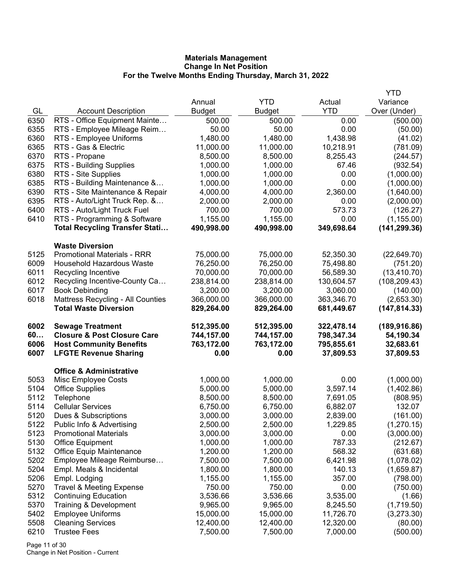|              |                                                                |                      |                    |                         | YTD                      |
|--------------|----------------------------------------------------------------|----------------------|--------------------|-------------------------|--------------------------|
|              |                                                                | Annual               | <b>YTD</b>         | Actual                  | Variance                 |
| GL           | <b>Account Description</b>                                     | <b>Budget</b>        | <b>Budget</b>      | <b>YTD</b>              | Over (Under)             |
| 6350         | RTS - Office Equipment Mainte                                  | 500.00               | 500.00             | 0.00                    | (500.00)                 |
| 6355         | RTS - Employee Mileage Reim                                    | 50.00                | 50.00              | 0.00                    | (50.00)                  |
| 6360         | RTS - Employee Uniforms                                        | 1,480.00             | 1,480.00           | 1,438.98                | (41.02)                  |
| 6365         | RTS - Gas & Electric                                           | 11,000.00            | 11,000.00          | 10,218.91               | (781.09)                 |
| 6370         | RTS - Propane                                                  | 8,500.00             | 8,500.00           | 8,255.43                | (244.57)                 |
| 6375         | RTS - Building Supplies                                        | 1,000.00             | 1,000.00           | 67.46                   | (932.54)                 |
| 6380         | RTS - Site Supplies                                            | 1,000.00             | 1,000.00           | 0.00                    | (1,000.00)               |
| 6385         | RTS - Building Maintenance &                                   | 1,000.00             | 1,000.00           | 0.00                    | (1,000.00)               |
| 6390         | RTS - Site Maintenance & Repair                                | 4,000.00             | 4,000.00           | 2,360.00                | (1,640.00)               |
| 6395         | RTS - Auto/Light Truck Rep. &                                  | 2,000.00             | 2,000.00           | 0.00                    | (2,000.00)               |
| 6400         | RTS - Auto/Light Truck Fuel                                    | 700.00               | 700.00             | 573.73                  | (126.27)                 |
| 6410         | RTS - Programming & Software                                   | 1,155.00             | 1,155.00           | 0.00                    | (1, 155.00)              |
|              | <b>Total Recycling Transfer Stati</b>                          | 490,998.00           | 490,998.00         | 349,698.64              | (141, 299.36)            |
|              | <b>Waste Diversion</b>                                         |                      |                    |                         |                          |
| 5125         | <b>Promotional Materials - RRR</b>                             | 75,000.00            | 75,000.00          | 52,350.30               | (22, 649.70)             |
| 6009         | <b>Household Hazardous Waste</b>                               | 76,250.00            | 76,250.00          | 75,498.80               | (751.20)                 |
| 6011         | Recycling Incentive                                            | 70,000.00            | 70,000.00          | 56,589.30               | (13, 410.70)             |
| 6012         | Recycling Incentive-County Ca                                  | 238,814.00           | 238,814.00         | 130,604.57              | (108, 209.43)            |
| 6017         | <b>Book Debinding</b>                                          | 3,200.00             | 3,200.00           | 3,060.00                | (140.00)                 |
| 6018         | <b>Mattress Recycling - All Counties</b>                       | 366,000.00           | 366,000.00         | 363,346.70              | (2,653.30)               |
|              | <b>Total Waste Diversion</b>                                   | 829,264.00           | 829,264.00         | 681,449.67              | (147, 814.33)            |
|              |                                                                |                      |                    |                         |                          |
|              |                                                                |                      |                    |                         |                          |
| 6002         | <b>Sewage Treatment</b>                                        | 512,395.00           | 512,395.00         | 322,478.14              | (189, 916.86)            |
| 60           | <b>Closure &amp; Post Closure Care</b>                         | 744,157.00           | 744,157.00         | 798,347.34              | 54,190.34                |
| 6006<br>6007 | <b>Host Community Benefits</b><br><b>LFGTE Revenue Sharing</b> | 763,172.00<br>0.00   | 763,172.00<br>0.00 | 795,855.61<br>37,809.53 | 32,683.61<br>37,809.53   |
|              |                                                                |                      |                    |                         |                          |
|              | <b>Office &amp; Administrative</b>                             |                      |                    |                         |                          |
| 5053         | Misc Employee Costs                                            | 1,000.00             | 1,000.00           | 0.00                    | (1,000.00)               |
| 5104         | <b>Office Supplies</b>                                         | 5,000.00             | 5,000.00           | 3,597.14                | (1,402.86)               |
| 5112         | Telephone                                                      | 8,500.00             | 8,500.00           | 7,691.05                | (808.95)                 |
| 5114         | <b>Cellular Services</b>                                       | 6,750.00             | 6,750.00           | 6,882.07                | 132.07                   |
| 5120         | Dues & Subscriptions                                           | 3,000.00             | 3,000.00           | 2,839.00                | (161.00)                 |
| 5122         | Public Info & Advertising                                      | 2,500.00             | 2,500.00           | 1,229.85                | (1,270.15)               |
| 5123         | <b>Promotional Materials</b>                                   | 3,000.00             | 3,000.00           | 0.00                    | (3,000.00)               |
| 5130         | <b>Office Equipment</b>                                        | 1,000.00             | 1,000.00           | 787.33                  | (212.67)                 |
| 5132         | <b>Office Equip Maintenance</b>                                | 1,200.00             | 1,200.00           | 568.32                  | (631.68)                 |
| 5202         | Employee Mileage Reimburse                                     | 7,500.00             | 7,500.00           | 6,421.98                | (1,078.02)               |
| 5204         | Empl. Meals & Incidental                                       | 1,800.00             | 1,800.00           | 140.13                  | (1,659.87)               |
| 5206         | Empl. Lodging                                                  | 1,155.00<br>750.00   | 1,155.00<br>750.00 | 357.00<br>0.00          | (798.00)                 |
| 5270<br>5312 | <b>Travel &amp; Meeting Expense</b>                            |                      | 3,536.66           |                         | (750.00)                 |
| 5370         | <b>Continuing Education</b><br>Training & Development          | 3,536.66<br>9,965.00 | 9,965.00           | 3,535.00<br>8,245.50    | (1.66)                   |
| 5402         | <b>Employee Uniforms</b>                                       | 15,000.00            | 15,000.00          | 11,726.70               | (1,719.50)<br>(3,273.30) |
| 5508         | <b>Cleaning Services</b>                                       | 12,400.00            | 12,400.00          | 12,320.00               | (80.00)                  |
| 6210         | <b>Trustee Fees</b>                                            | 7,500.00             | 7,500.00           | 7,000.00                | (500.00)                 |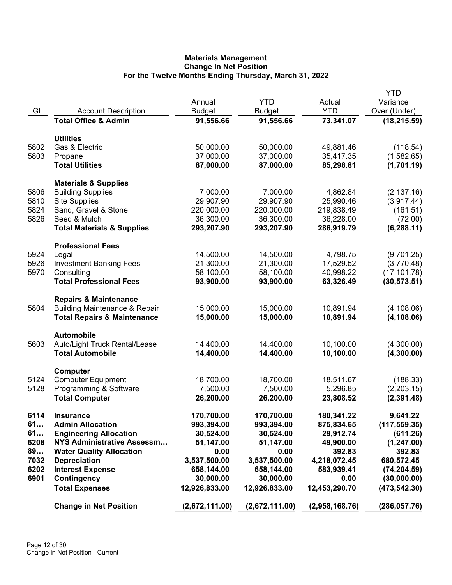|      |                                          |                |                |                | <b>YTD</b>    |
|------|------------------------------------------|----------------|----------------|----------------|---------------|
|      |                                          | Annual         | <b>YTD</b>     | Actual         | Variance      |
| GL   | <b>Account Description</b>               | <b>Budget</b>  | <b>Budget</b>  | <b>YTD</b>     | Over (Under)  |
|      | <b>Total Office &amp; Admin</b>          | 91,556.66      | 91,556.66      | 73,341.07      | (18, 215.59)  |
|      | <b>Utilities</b>                         |                |                |                |               |
| 5802 | Gas & Electric                           | 50,000.00      | 50,000.00      | 49,881.46      | (118.54)      |
| 5803 | Propane                                  | 37,000.00      | 37,000.00      | 35,417.35      | (1,582.65)    |
|      | <b>Total Utilities</b>                   | 87,000.00      | 87,000.00      | 85,298.81      | (1,701.19)    |
|      | <b>Materials &amp; Supplies</b>          |                |                |                |               |
| 5806 | <b>Building Supplies</b>                 | 7,000.00       | 7,000.00       | 4,862.84       | (2, 137.16)   |
| 5810 | <b>Site Supplies</b>                     | 29,907.90      | 29,907.90      | 25,990.46      | (3,917.44)    |
| 5824 | Sand, Gravel & Stone                     | 220,000.00     | 220,000.00     | 219,838.49     | (161.51)      |
| 5826 | Seed & Mulch                             | 36,300.00      | 36,300.00      | 36,228.00      | (72.00)       |
|      | <b>Total Materials &amp; Supplies</b>    | 293,207.90     | 293,207.90     | 286,919.79     | (6, 288.11)   |
|      | <b>Professional Fees</b>                 |                |                |                |               |
| 5924 | Legal                                    | 14,500.00      | 14,500.00      | 4,798.75       | (9,701.25)    |
| 5926 | <b>Investment Banking Fees</b>           | 21,300.00      | 21,300.00      | 17,529.52      | (3,770.48)    |
| 5970 | Consulting                               | 58,100.00      | 58,100.00      | 40,998.22      | (17, 101.78)  |
|      | <b>Total Professional Fees</b>           | 93,900.00      | 93,900.00      | 63,326.49      | (30, 573.51)  |
|      | <b>Repairs &amp; Maintenance</b>         |                |                |                |               |
| 5804 | <b>Building Maintenance &amp; Repair</b> | 15,000.00      | 15,000.00      | 10,891.94      | (4, 108.06)   |
|      | <b>Total Repairs &amp; Maintenance</b>   | 15,000.00      | 15,000.00      | 10,891.94      | (4, 108.06)   |
|      |                                          |                |                |                |               |
|      | <b>Automobile</b>                        |                |                |                |               |
| 5603 | Auto/Light Truck Rental/Lease            | 14,400.00      | 14,400.00      | 10,100.00      | (4,300.00)    |
|      | <b>Total Automobile</b>                  | 14,400.00      | 14,400.00      | 10,100.00      | (4,300.00)    |
|      | Computer                                 |                |                |                |               |
| 5124 | <b>Computer Equipment</b>                | 18,700.00      | 18,700.00      | 18,511.67      | (188.33)      |
| 5128 | Programming & Software                   | 7,500.00       | 7,500.00       | 5,296.85       | (2,203.15)    |
|      | <b>Total Computer</b>                    | 26,200.00      | 26,200.00      | 23,808.52      | (2,391.48)    |
| 6114 | <b>Insurance</b>                         | 170,700.00     | 170,700.00     | 180,341.22     | 9,641.22      |
| 61   | <b>Admin Allocation</b>                  | 993,394.00     | 993,394.00     | 875,834.65     | (117, 559.35) |
| 61   | <b>Engineering Allocation</b>            | 30,524.00      | 30,524.00      | 29,912.74      | (611.26)      |
| 6208 | <b>NYS Administrative Assessm</b>        | 51,147.00      | 51,147.00      | 49,900.00      | (1, 247.00)   |
| 89   | <b>Water Quality Allocation</b>          | 0.00           | 0.00           | 392.83         | 392.83        |
| 7032 | <b>Depreciation</b>                      | 3,537,500.00   | 3,537,500.00   | 4,218,072.45   | 680,572.45    |
| 6202 | <b>Interest Expense</b>                  | 658,144.00     | 658,144.00     | 583,939.41     | (74, 204.59)  |
| 6901 | Contingency                              | 30,000.00      | 30,000.00      | 0.00           | (30,000.00)   |
|      | <b>Total Expenses</b>                    | 12,926,833.00  | 12,926,833.00  | 12,453,290.70  | (473, 542.30) |
|      | <b>Change in Net Position</b>            | (2,672,111.00) | (2,672,111.00) | (2,958,168.76) | (286, 057.76) |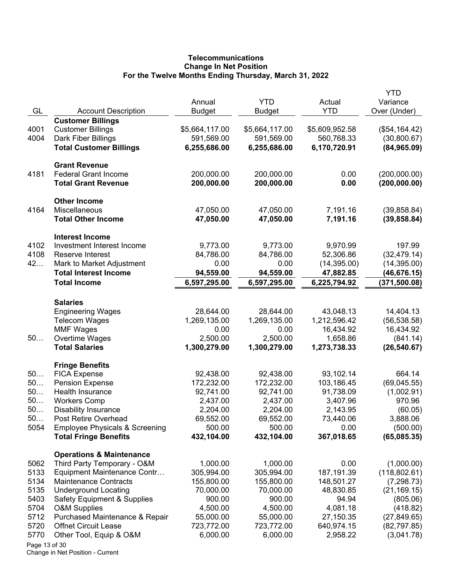# **Telecommunications Change In Net Position For the Twelve Months Ending Thursday, March 31, 2022**

| GL            | <b>Account Description</b>                                | Annual<br><b>Budget</b>   | <b>YTD</b><br><b>Budget</b> | Actual<br><b>YTD</b>      | YTD<br>Variance<br>Over (Under) |
|---------------|-----------------------------------------------------------|---------------------------|-----------------------------|---------------------------|---------------------------------|
|               | <b>Customer Billings</b>                                  |                           |                             |                           |                                 |
| 4001          | <b>Customer Billings</b>                                  | \$5,664,117.00            | \$5,664,117.00              | \$5,609,952.58            | (\$54,164.42)                   |
| 4004          | Dark Fiber Billings                                       | 591,569.00                | 591,569.00                  | 560,768.33                | (30,800.67)                     |
|               | <b>Total Customer Billings</b>                            | 6,255,686.00              | 6,255,686.00                | 6,170,720.91              | (84, 965.09)                    |
|               | <b>Grant Revenue</b>                                      |                           |                             |                           |                                 |
| 4181          | <b>Federal Grant Income</b>                               | 200,000.00                | 200,000.00                  | 0.00                      | (200,000.00)                    |
|               | <b>Total Grant Revenue</b>                                | 200,000.00                | 200,000.00                  | 0.00                      | (200, 000.00)                   |
|               | <b>Other Income</b>                                       |                           |                             |                           |                                 |
| 4164          | Miscellaneous                                             | 47,050.00                 | 47,050.00                   | 7,191.16                  | (39, 858.84)                    |
|               | <b>Total Other Income</b>                                 | 47,050.00                 | 47,050.00                   | 7,191.16                  | (39, 858.84)                    |
|               | <b>Interest Income</b>                                    |                           |                             |                           |                                 |
| 4102          | Investment Interest Income                                | 9,773.00                  | 9,773.00                    | 9,970.99                  | 197.99                          |
| 4108          | Reserve Interest                                          | 84,786.00                 | 84,786.00                   | 52,306.86                 | (32, 479.14)                    |
| 42            | Mark to Market Adjustment<br><b>Total Interest Income</b> | 0.00                      | 0.00                        | (14, 395.00)              | (14, 395.00)                    |
|               | <b>Total Income</b>                                       | 94,559.00<br>6,597,295.00 | 94,559.00<br>6,597,295.00   | 47,882.85<br>6,225,794.92 | (46,676.15)<br>(371, 500.08)    |
|               |                                                           |                           |                             |                           |                                 |
|               | <b>Salaries</b>                                           |                           |                             |                           |                                 |
|               | <b>Engineering Wages</b>                                  | 28,644.00                 | 28,644.00                   | 43,048.13                 | 14,404.13                       |
|               | <b>Telecom Wages</b>                                      | 1,269,135.00              | 1,269,135.00                | 1,212,596.42              | (56, 538.58)                    |
| 50            | <b>MMF Wages</b>                                          | 0.00<br>2,500.00          | 0.00<br>2,500.00            | 16,434.92<br>1,658.86     | 16,434.92                       |
|               | Overtime Wages<br><b>Total Salaries</b>                   | 1,300,279.00              | 1,300,279.00                | 1,273,738.33              | (841.14)<br>(26, 540.67)        |
|               |                                                           |                           |                             |                           |                                 |
| 50            | <b>Fringe Benefits</b>                                    |                           |                             |                           |                                 |
| 50            | <b>FICA Expense</b><br><b>Pension Expense</b>             | 92,438.00<br>172,232.00   | 92,438.00<br>172,232.00     | 93,102.14<br>103,186.45   | 664.14<br>(69,045.55)           |
| 50            | Health Insurance                                          | 92,741.00                 | 92,741.00                   | 91,738.09                 | (1,002.91)                      |
| 50            | <b>Workers Comp</b>                                       | 2,437.00                  | 2,437.00                    | 3,407.96                  | 970.96                          |
| 50            | <b>Disability Insurance</b>                               | 2,204.00                  | 2,204.00                    | 2,143.95                  | (60.05)                         |
| 50            | Post Retire Overhead                                      | 69,552.00                 | 69,552.00                   | 73,440.06                 | 3,888.06                        |
| 5054          | <b>Employee Physicals &amp; Screening</b>                 | 500.00                    | 500.00                      | 0.00                      | (500.00)                        |
|               | <b>Total Fringe Benefits</b>                              | 432,104.00                | 432,104.00                  | 367,018.65                | (65,085.35)                     |
|               | <b>Operations &amp; Maintenance</b>                       |                           |                             |                           |                                 |
| 5062          | Third Party Temporary - O&M                               | 1,000.00                  | 1,000.00                    | 0.00                      | (1,000.00)                      |
| 5133          | Equipment Maintenance Contr                               | 305,994.00                | 305,994.00                  | 187, 191.39               | (118, 802.61)                   |
| 5134          | <b>Maintenance Contracts</b>                              | 155,800.00                | 155,800.00                  | 148,501.27                | (7, 298.73)                     |
| 5135          | <b>Underground Locating</b>                               | 70,000.00                 | 70,000.00                   | 48,830.85                 | (21, 169.15)                    |
| 5403          | <b>Safety Equipment &amp; Supplies</b>                    | 900.00                    | 900.00                      | 94.94                     | (805.06)                        |
| 5704          | <b>O&amp;M Supplies</b>                                   | 4,500.00                  | 4,500.00                    | 4,081.18                  | (418.82)                        |
| 5712          | Purchased Maintenance & Repair                            | 55,000.00                 | 55,000.00                   | 27,150.35                 | (27, 849.65)                    |
| 5720          | <b>Offnet Circuit Lease</b>                               | 723,772.00                | 723,772.00                  | 640,974.15                | (82, 797.85)                    |
| 5770          | Other Tool, Equip & O&M                                   | 6,000.00                  | 6,000.00                    | 2,958.22                  | (3,041.78)                      |
| Page 13 of 30 |                                                           |                           |                             |                           |                                 |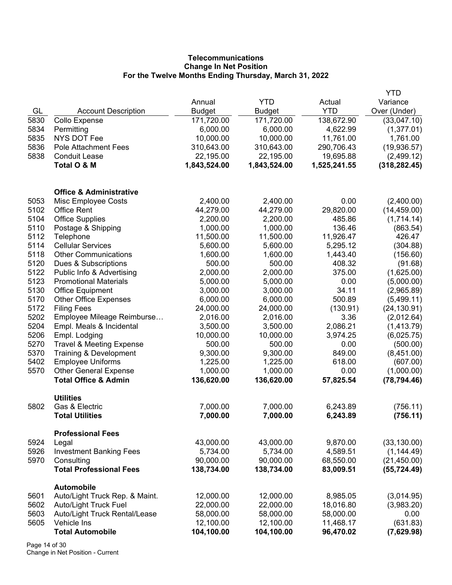# **Telecommunications Change In Net Position For the Twelve Months Ending Thursday, March 31, 2022**

|      |                                     |               |              |              | <b>YTD</b>    |
|------|-------------------------------------|---------------|--------------|--------------|---------------|
|      |                                     | Annual        | <b>YTD</b>   | Actual       | Variance      |
| GL   | <b>Account Description</b>          | <b>Budget</b> | Budget       | <b>YTD</b>   | Over (Under)  |
| 5830 | <b>Collo Expense</b>                | 171,720.00    | 171,720.00   | 138,672.90   | (33,047.10)   |
| 5834 | Permitting                          | 6,000.00      | 6,000.00     | 4,622.99     | (1,377.01)    |
| 5835 | <b>NYS DOT Fee</b>                  | 10,000.00     | 10,000.00    | 11,761.00    | 1,761.00      |
| 5836 | <b>Pole Attachment Fees</b>         | 310,643.00    | 310,643.00   | 290,706.43   | (19,936.57)   |
| 5838 | <b>Conduit Lease</b>                | 22,195.00     | 22,195.00    | 19,695.88    | (2,499.12)    |
|      | Total O & M                         | 1,843,524.00  | 1,843,524.00 | 1,525,241.55 | (318, 282.45) |
|      | <b>Office &amp; Administrative</b>  |               |              |              |               |
| 5053 | Misc Employee Costs                 | 2,400.00      | 2,400.00     | 0.00         | (2,400.00)    |
| 5102 | <b>Office Rent</b>                  | 44,279.00     | 44,279.00    | 29,820.00    | (14, 459.00)  |
| 5104 | <b>Office Supplies</b>              | 2,200.00      | 2,200.00     | 485.86       | (1,714.14)    |
| 5110 | Postage & Shipping                  | 1,000.00      | 1,000.00     | 136.46       | (863.54)      |
| 5112 | Telephone                           | 11,500.00     | 11,500.00    | 11,926.47    | 426.47        |
| 5114 | <b>Cellular Services</b>            | 5,600.00      | 5,600.00     | 5,295.12     | (304.88)      |
| 5118 | <b>Other Communications</b>         | 1,600.00      | 1,600.00     | 1,443.40     | (156.60)      |
| 5120 | Dues & Subscriptions                | 500.00        | 500.00       | 408.32       | (91.68)       |
| 5122 | Public Info & Advertising           | 2,000.00      | 2,000.00     | 375.00       | (1,625.00)    |
| 5123 | <b>Promotional Materials</b>        | 5,000.00      | 5,000.00     | 0.00         | (5,000.00)    |
| 5130 | <b>Office Equipment</b>             | 3,000.00      | 3,000.00     | 34.11        | (2,965.89)    |
| 5170 | <b>Other Office Expenses</b>        | 6,000.00      | 6,000.00     | 500.89       | (5,499.11)    |
| 5172 | <b>Filing Fees</b>                  | 24,000.00     | 24,000.00    | (130.91)     | (24, 130.91)  |
| 5202 | Employee Mileage Reimburse          | 2,016.00      | 2,016.00     | 3.36         | (2,012.64)    |
| 5204 | Empl. Meals & Incidental            | 3,500.00      | 3,500.00     | 2,086.21     | (1,413.79)    |
| 5206 | Empl. Lodging                       | 10,000.00     | 10,000.00    | 3,974.25     | (6,025.75)    |
| 5270 | <b>Travel &amp; Meeting Expense</b> | 500.00        | 500.00       | 0.00         | (500.00)      |
| 5370 | Training & Development              | 9,300.00      | 9,300.00     | 849.00       | (8,451.00)    |
| 5402 | <b>Employee Uniforms</b>            | 1,225.00      | 1,225.00     | 618.00       | (607.00)      |
| 5570 | <b>Other General Expense</b>        | 1,000.00      | 1,000.00     | 0.00         | (1,000.00)    |
|      | <b>Total Office &amp; Admin</b>     | 136,620.00    | 136,620.00   | 57,825.54    | (78, 794.46)  |
|      |                                     |               |              |              |               |
|      | <b>Utilities</b>                    |               |              |              |               |
| 5802 | Gas & Electric                      | 7,000.00      | 7,000.00     | 6,243.89     | (756.11)      |
|      | <b>Total Utilities</b>              | 7,000.00      | 7,000.00     | 6,243.89     | (756.11)      |
|      | <b>Professional Fees</b>            |               |              |              |               |
| 5924 | Legal                               | 43,000.00     | 43,000.00    | 9,870.00     | (33, 130.00)  |
| 5926 | <b>Investment Banking Fees</b>      | 5,734.00      | 5,734.00     | 4,589.51     | (1, 144.49)   |
| 5970 | Consulting                          | 90,000.00     | 90,000.00    | 68,550.00    | (21, 450.00)  |
|      | <b>Total Professional Fees</b>      | 138,734.00    | 138,734.00   | 83,009.51    | (55, 724.49)  |
|      | <b>Automobile</b>                   |               |              |              |               |
| 5601 | Auto/Light Truck Rep. & Maint.      | 12,000.00     | 12,000.00    | 8,985.05     | (3,014.95)    |
| 5602 | <b>Auto/Light Truck Fuel</b>        | 22,000.00     | 22,000.00    | 18,016.80    | (3,983.20)    |
| 5603 | Auto/Light Truck Rental/Lease       | 58,000.00     | 58,000.00    | 58,000.00    | 0.00          |
| 5605 | Vehicle Ins                         | 12,100.00     | 12,100.00    | 11,468.17    | (631.83)      |
|      | <b>Total Automobile</b>             | 104,100.00    | 104,100.00   | 96,470.02    | (7,629.98)    |

Page 14 of 30 Change in Net Position - Current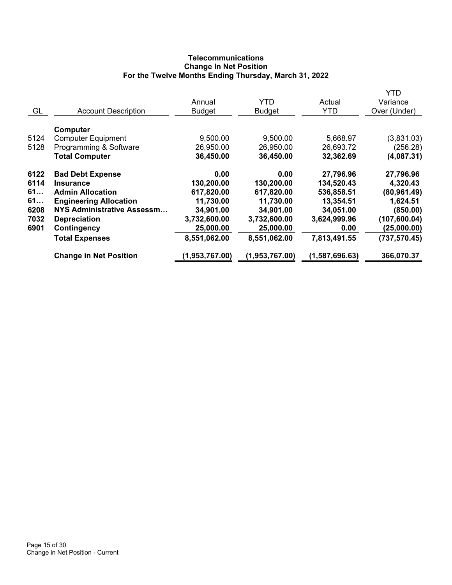# **Telecommunications Change In Net Position For the Twelve Months Ending Thursday, March 31, 2022**

|      |                               |                |                |                | YTD           |
|------|-------------------------------|----------------|----------------|----------------|---------------|
|      |                               | Annual         | <b>YTD</b>     | Actual         | Variance      |
| GL   | <b>Account Description</b>    | <b>Budget</b>  | <b>Budget</b>  | <b>YTD</b>     | Over (Under)  |
|      | Computer                      |                |                |                |               |
| 5124 | <b>Computer Equipment</b>     | 9,500.00       | 9,500.00       | 5,668.97       | (3,831.03)    |
| 5128 | Programming & Software        | 26,950.00      | 26,950.00      | 26,693.72      | (256.28)      |
|      | <b>Total Computer</b>         | 36,450.00      | 36,450.00      | 32,362.69      | (4,087.31)    |
| 6122 | <b>Bad Debt Expense</b>       | 0.00           | 0.00           | 27,796.96      | 27,796.96     |
| 6114 | <b>Insurance</b>              | 130,200.00     | 130,200.00     | 134,520.43     | 4,320.43      |
| 61   | <b>Admin Allocation</b>       | 617,820.00     | 617,820.00     | 536,858.51     | (80, 961.49)  |
| 61   | <b>Engineering Allocation</b> | 11,730.00      | 11,730.00      | 13,354.51      | 1,624.51      |
| 6208 | NYS Administrative Assessm    | 34,901.00      | 34,901.00      | 34,051.00      | (850.00)      |
| 7032 | <b>Depreciation</b>           | 3,732,600.00   | 3,732,600.00   | 3,624,999.96   | (107, 600.04) |
| 6901 | Contingency                   | 25,000.00      | 25,000.00      | 0.00           | (25,000.00)   |
|      | <b>Total Expenses</b>         | 8,551,062.00   | 8,551,062.00   | 7,813,491.55   | (737, 570.45) |
|      | <b>Change in Net Position</b> | (1,953,767.00) | (1,953,767.00) | (1,587,696.63) | 366,070.37    |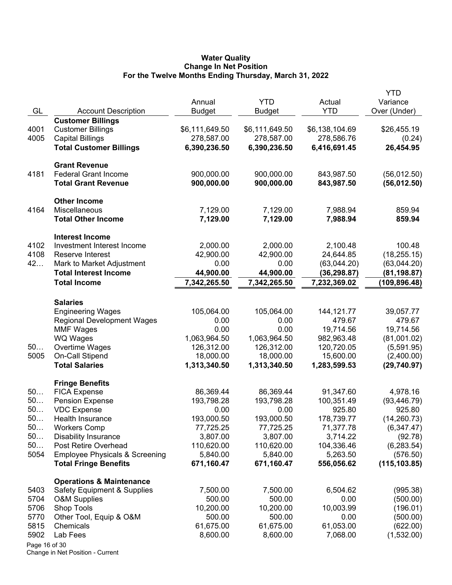#### **Water Quality Change In Net Position For the Twelve Months Ending Thursday, March 31, 2022**

|               |                                           |                         |                             |                      | <b>YTD</b>               |
|---------------|-------------------------------------------|-------------------------|-----------------------------|----------------------|--------------------------|
| GL            | <b>Account Description</b>                | Annual<br><b>Budget</b> | <b>YTD</b><br><b>Budget</b> | Actual<br><b>YTD</b> | Variance<br>Over (Under) |
|               | <b>Customer Billings</b>                  |                         |                             |                      |                          |
| 4001          | <b>Customer Billings</b>                  | \$6,111,649.50          | \$6,111,649.50              | \$6,138,104.69       | \$26,455.19              |
| 4005          | <b>Capital Billings</b>                   | 278,587.00              | 278,587.00                  | 278,586.76           | (0.24)                   |
|               | <b>Total Customer Billings</b>            | 6,390,236.50            | 6,390,236.50                | 6,416,691.45         | 26,454.95                |
|               |                                           |                         |                             |                      |                          |
|               | <b>Grant Revenue</b>                      |                         |                             |                      |                          |
| 4181          | <b>Federal Grant Income</b>               | 900,000.00              | 900,000.00                  | 843,987.50           | (56,012.50)              |
|               | <b>Total Grant Revenue</b>                | 900,000.00              | 900,000.00                  | 843,987.50           | (56,012.50)              |
|               | <b>Other Income</b>                       |                         |                             |                      |                          |
| 4164          | Miscellaneous                             | 7,129.00                | 7,129.00                    | 7,988.94             | 859.94                   |
|               | <b>Total Other Income</b>                 | 7,129.00                | 7,129.00                    | 7,988.94             | 859.94                   |
|               | <b>Interest Income</b>                    |                         |                             |                      |                          |
| 4102          | Investment Interest Income                | 2,000.00                | 2,000.00                    | 2,100.48             | 100.48                   |
| 4108          | Reserve Interest                          | 42,900.00               | 42,900.00                   | 24,644.85            | (18, 255.15)             |
| 42            | Mark to Market Adjustment                 | 0.00                    | 0.00                        | (63,044.20)          | (63,044.20)              |
|               | <b>Total Interest Income</b>              | 44,900.00               | 44,900.00                   | (36, 298.87)         | (81,198.87)              |
|               | <b>Total Income</b>                       | 7,342,265.50            | 7,342,265.50                | 7,232,369.02         | (109, 896.48)            |
|               |                                           |                         |                             |                      |                          |
|               | <b>Salaries</b>                           |                         |                             |                      |                          |
|               | <b>Engineering Wages</b>                  | 105,064.00              | 105,064.00                  | 144,121.77           | 39,057.77                |
|               | <b>Regional Development Wages</b>         | 0.00                    | 0.00                        | 479.67               | 479.67                   |
|               | <b>MMF Wages</b>                          | 0.00                    | 0.00                        | 19,714.56            | 19,714.56                |
|               | WQ Wages                                  | 1,063,964.50            | 1,063,964.50                | 982,963.48           | (81,001.02)              |
| 50            | Overtime Wages                            | 126,312.00              | 126,312.00                  | 120,720.05           | (5,591.95)               |
| 5005          | On-Call Stipend                           | 18,000.00               | 18,000.00                   | 15,600.00            | (2,400.00)               |
|               | <b>Total Salaries</b>                     | 1,313,340.50            | 1,313,340.50                | 1,283,599.53         | (29,740.97)              |
|               | <b>Fringe Benefits</b>                    |                         |                             |                      |                          |
| 50            | <b>FICA Expense</b>                       | 86,369.44               | 86,369.44                   | 91,347.60            | 4,978.16                 |
| 50            | <b>Pension Expense</b>                    | 193,798.28              | 193,798.28                  | 100,351.49           | (93, 446.79)             |
| 50            | <b>VDC Expense</b>                        | 0.00                    | 0.00                        | 925.80               | 925.80                   |
| 50            | Health Insurance                          | 193,000.50              | 193,000.50                  | 178,739.77           | (14, 260.73)             |
| 50            | <b>Workers Comp</b>                       | 77,725.25               | 77,725.25                   | 71,377.78            | (6,347.47)               |
| 50            | <b>Disability Insurance</b>               | 3,807.00                | 3,807.00                    | 3,714.22             | (92.78)                  |
| 50            | Post Retire Overhead                      | 110,620.00              | 110,620.00                  | 104,336.46           | (6, 283.54)              |
| 5054          | <b>Employee Physicals &amp; Screening</b> | 5,840.00                | 5,840.00                    | 5,263.50             | (576.50)                 |
|               | <b>Total Fringe Benefits</b>              | 671,160.47              | 671,160.47                  | 556,056.62           | (115, 103.85)            |
|               | <b>Operations &amp; Maintenance</b>       |                         |                             |                      |                          |
| 5403          | Safety Equipment & Supplies               | 7,500.00                | 7,500.00                    | 6,504.62             | (995.38)                 |
| 5704          | <b>O&amp;M Supplies</b>                   | 500.00                  | 500.00                      | 0.00                 | (500.00)                 |
| 5706          | Shop Tools                                | 10,200.00               | 10,200.00                   | 10,003.99            | (196.01)                 |
| 5770          | Other Tool, Equip & O&M                   | 500.00                  | 500.00                      | 0.00                 | (500.00)                 |
| 5815          | Chemicals                                 | 61,675.00               | 61,675.00                   | 61,053.00            | (622.00)                 |
| 5902          | Lab Fees                                  | 8,600.00                | 8,600.00                    | 7,068.00             | (1,532.00)               |
| Page 16 of 30 |                                           |                         |                             |                      |                          |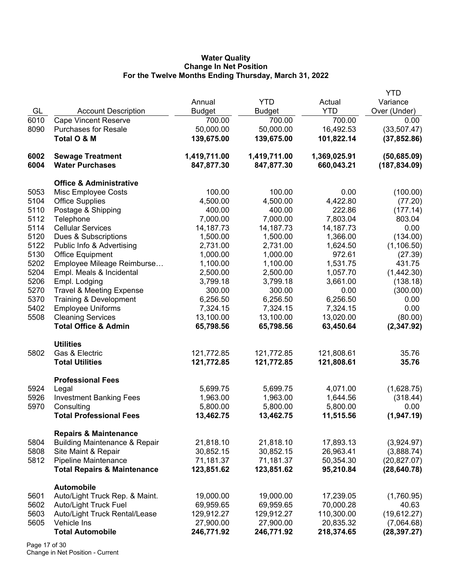### **Water Quality Change In Net Position For the Twelve Months Ending Thursday, March 31, 2022**

|      |                                          |               |              |              | <b>YTD</b>    |
|------|------------------------------------------|---------------|--------------|--------------|---------------|
|      |                                          | Annual        | <b>YTD</b>   | Actual       | Variance      |
| GL   | <b>Account Description</b>               | <b>Budget</b> | Budget       | <b>YTD</b>   | Over (Under)  |
| 6010 | <b>Cape Vincent Reserve</b>              | 700.00        | 700.00       | 700.00       | 0.00          |
| 8090 | <b>Purchases for Resale</b>              | 50,000.00     | 50,000.00    | 16,492.53    | (33,507.47)   |
|      | Total O & M                              | 139,675.00    | 139,675.00   | 101,822.14   | (37, 852.86)  |
|      |                                          |               |              |              |               |
| 6002 | <b>Sewage Treatment</b>                  | 1,419,711.00  | 1,419,711.00 | 1,369,025.91 | (50, 685.09)  |
| 6004 | <b>Water Purchases</b>                   | 847,877.30    | 847,877.30   | 660,043.21   | (187, 834.09) |
|      |                                          |               |              |              |               |
|      | <b>Office &amp; Administrative</b>       |               |              |              |               |
| 5053 | Misc Employee Costs                      | 100.00        | 100.00       | 0.00         | (100.00)      |
| 5104 | <b>Office Supplies</b>                   | 4,500.00      | 4,500.00     | 4,422.80     | (77.20)       |
| 5110 | Postage & Shipping                       | 400.00        | 400.00       | 222.86       | (177.14)      |
| 5112 | Telephone                                | 7,000.00      | 7,000.00     | 7,803.04     | 803.04        |
| 5114 | <b>Cellular Services</b>                 | 14, 187. 73   | 14, 187. 73  | 14, 187. 73  | 0.00          |
| 5120 | Dues & Subscriptions                     | 1,500.00      | 1,500.00     | 1,366.00     | (134.00)      |
| 5122 | Public Info & Advertising                | 2,731.00      | 2,731.00     | 1,624.50     | (1, 106.50)   |
| 5130 | <b>Office Equipment</b>                  | 1,000.00      | 1,000.00     | 972.61       | (27.39)       |
| 5202 | Employee Mileage Reimburse               | 1,100.00      | 1,100.00     | 1,531.75     | 431.75        |
| 5204 | Empl. Meals & Incidental                 | 2,500.00      | 2,500.00     | 1,057.70     | (1,442.30)    |
| 5206 | Empl. Lodging                            | 3,799.18      | 3,799.18     | 3,661.00     | (138.18)      |
| 5270 | <b>Travel &amp; Meeting Expense</b>      | 300.00        | 300.00       | 0.00         | (300.00)      |
| 5370 | Training & Development                   | 6,256.50      | 6,256.50     | 6,256.50     | 0.00          |
| 5402 | <b>Employee Uniforms</b>                 | 7,324.15      | 7,324.15     | 7,324.15     | 0.00          |
| 5508 | <b>Cleaning Services</b>                 | 13,100.00     | 13,100.00    | 13,020.00    | (80.00)       |
|      | <b>Total Office &amp; Admin</b>          | 65,798.56     | 65,798.56    | 63,450.64    | (2,347.92)    |
|      |                                          |               |              |              |               |
|      | <b>Utilities</b>                         |               |              |              |               |
| 5802 | Gas & Electric                           | 121,772.85    | 121,772.85   | 121,808.61   | 35.76         |
|      | <b>Total Utilities</b>                   | 121,772.85    | 121,772.85   | 121,808.61   | 35.76         |
|      |                                          |               |              |              |               |
|      | <b>Professional Fees</b>                 |               |              |              |               |
| 5924 | Legal                                    | 5,699.75      | 5,699.75     | 4,071.00     | (1,628.75)    |
| 5926 | <b>Investment Banking Fees</b>           | 1,963.00      | 1,963.00     | 1,644.56     | (318.44)      |
| 5970 | Consulting                               | 5,800.00      | 5,800.00     | 5,800.00     | 0.00          |
|      | <b>Total Professional Fees</b>           | 13,462.75     | 13,462.75    | 11,515.56    | (1,947.19)    |
|      |                                          |               |              |              |               |
|      | <b>Repairs &amp; Maintenance</b>         |               |              |              |               |
| 5804 | <b>Building Maintenance &amp; Repair</b> | 21,818.10     | 21,818.10    | 17,893.13    | (3,924.97)    |
| 5808 | Site Maint & Repair                      | 30,852.15     | 30,852.15    | 26,963.41    | (3,888.74)    |
| 5812 | <b>Pipeline Maintenance</b>              | 71,181.37     | 71,181.37    | 50,354.30    | (20, 827.07)  |
|      | <b>Total Repairs &amp; Maintenance</b>   | 123,851.62    | 123,851.62   | 95,210.84    | (28, 640.78)  |
|      |                                          |               |              |              |               |
|      | <b>Automobile</b>                        |               |              |              |               |
| 5601 | Auto/Light Truck Rep. & Maint.           | 19,000.00     | 19,000.00    | 17,239.05    | (1,760.95)    |
| 5602 | Auto/Light Truck Fuel                    | 69,959.65     | 69,959.65    | 70,000.28    | 40.63         |
| 5603 | Auto/Light Truck Rental/Lease            | 129,912.27    | 129,912.27   | 110,300.00   | (19,612.27)   |
| 5605 | Vehicle Ins                              | 27,900.00     | 27,900.00    | 20,835.32    | (7,064.68)    |
|      | <b>Total Automobile</b>                  | 246,771.92    | 246,771.92   | 218,374.65   | (28, 397.27)  |
|      |                                          |               |              |              |               |

Page 17 of 30 Change in Net Position - Current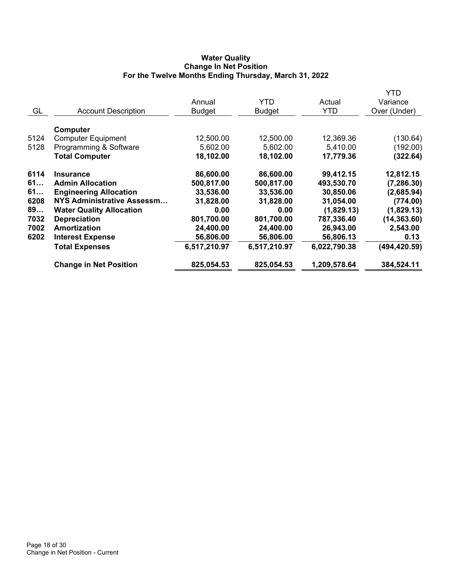## **Water Quality Change In Net Position For the Twelve Months Ending Thursday, March 31, 2022**

|                  |                                                                                          |                                      |                                      |                                      | <b>YTD</b>                             |
|------------------|------------------------------------------------------------------------------------------|--------------------------------------|--------------------------------------|--------------------------------------|----------------------------------------|
|                  |                                                                                          | Annual                               | YTD                                  | Actual                               | Variance                               |
| GL               | <b>Account Description</b>                                                               | <b>Budget</b>                        | <b>Budget</b>                        | <b>YTD</b>                           | Over (Under)                           |
| 5124<br>5128     | Computer<br><b>Computer Equipment</b><br>Programming & Software<br><b>Total Computer</b> | 12,500.00<br>5,602.00<br>18,102.00   | 12,500.00<br>5,602.00<br>18,102.00   | 12,369.36<br>5,410.00<br>17,779.36   | (130.64)<br>(192.00)<br>(322.64)       |
| 6114<br>61<br>61 | <b>Insurance</b><br><b>Admin Allocation</b><br><b>Engineering Allocation</b>             | 86,600.00<br>500,817.00<br>33,536.00 | 86,600.00<br>500,817.00<br>33,536.00 | 99,412.15<br>493,530.70<br>30,850.06 | 12,812.15<br>(7, 286.30)<br>(2,685.94) |
| 6208<br>89       | NYS Administrative Assessm                                                               | 31,828.00                            | 31,828.00                            | 31,054.00                            | (774.00)                               |
| 7032             | <b>Water Quality Allocation</b><br><b>Depreciation</b>                                   | 0.00<br>801,700.00                   | 0.00<br>801,700.00                   | (1,829.13)<br>787,336.40             | (1,829.13)<br>(14, 363.60)             |
| 7002             | Amortization                                                                             | 24,400.00                            | 24,400.00                            | 26,943.00                            | 2,543.00                               |
| 6202             | <b>Interest Expense</b>                                                                  | 56,806.00                            | 56,806.00                            | 56,806.13                            | 0.13                                   |
|                  | <b>Total Expenses</b>                                                                    | 6,517,210.97                         | 6,517,210.97                         | 6,022,790.38                         | (494, 420.59)                          |
|                  | <b>Change in Net Position</b>                                                            | 825,054.53                           | 825,054.53                           | 1,209,578.64                         | 384,524.11                             |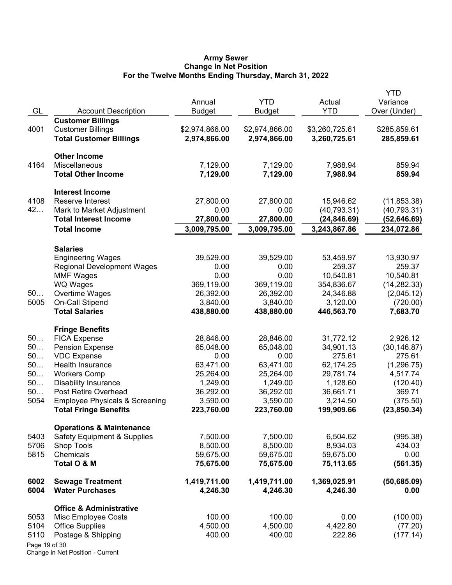#### **Army Sewer Change In Net Position For the Twelve Months Ending Thursday, March 31, 2022**

| GL            | <b>Account Description</b>                | Annual<br><b>Budget</b> | <b>YTD</b><br><b>Budget</b> | Actual<br><b>YTD</b>   | YTD<br>Variance<br>Over (Under) |
|---------------|-------------------------------------------|-------------------------|-----------------------------|------------------------|---------------------------------|
|               | <b>Customer Billings</b>                  |                         |                             |                        |                                 |
| 4001          | <b>Customer Billings</b>                  | \$2,974,866.00          | \$2,974,866.00              | \$3,260,725.61         | \$285,859.61                    |
|               | <b>Total Customer Billings</b>            | 2,974,866.00            | 2,974,866.00                | 3,260,725.61           | 285,859.61                      |
|               | <b>Other Income</b>                       |                         |                             |                        |                                 |
| 4164          | Miscellaneous                             | 7,129.00                | 7,129.00                    | 7,988.94               | 859.94                          |
|               | <b>Total Other Income</b>                 | 7,129.00                | 7,129.00                    | 7,988.94               | 859.94                          |
|               | <b>Interest Income</b>                    |                         |                             |                        |                                 |
| 4108          | Reserve Interest                          | 27,800.00               | 27,800.00                   | 15,946.62              | (11, 853.38)                    |
| 42            | Mark to Market Adjustment                 | 0.00                    | 0.00                        | (40, 793.31)           | (40, 793.31)                    |
|               | <b>Total Interest Income</b>              | 27,800.00               | 27,800.00                   | (24,846.69)            | (52,646.69)                     |
|               | <b>Total Income</b>                       | 3,009,795.00            | 3,009,795.00                | 3,243,867.86           | 234,072.86                      |
|               | <b>Salaries</b>                           |                         |                             |                        |                                 |
|               | <b>Engineering Wages</b>                  | 39,529.00               | 39,529.00                   | 53,459.97              | 13,930.97                       |
|               | <b>Regional Development Wages</b>         | 0.00                    | 0.00                        | 259.37                 | 259.37                          |
|               | <b>MMF Wages</b>                          | 0.00                    | 0.00                        | 10,540.81              | 10,540.81                       |
|               | <b>WQ Wages</b>                           | 369,119.00              | 369,119.00                  | 354,836.67             | (14, 282.33)                    |
| 50            | Overtime Wages                            | 26,392.00               | 26,392.00                   | 24,346.88              | (2,045.12)                      |
| 5005          | <b>On-Call Stipend</b>                    | 3,840.00                | 3,840.00                    | 3,120.00               | (720.00)                        |
|               | <b>Total Salaries</b>                     | 438,880.00              | 438,880.00                  | 446,563.70             | 7,683.70                        |
|               | <b>Fringe Benefits</b>                    |                         |                             |                        |                                 |
| 50            | <b>FICA Expense</b>                       | 28,846.00               | 28,846.00                   | 31,772.12              | 2,926.12                        |
| 50<br>50      | <b>Pension Expense</b>                    | 65,048.00               | 65,048.00                   | 34,901.13<br>275.61    | (30, 146.87)                    |
| 50            | <b>VDC Expense</b><br>Health Insurance    | 0.00<br>63,471.00       | 0.00<br>63,471.00           |                        | 275.61                          |
| 50            | <b>Workers Comp</b>                       | 25,264.00               | 25,264.00                   | 62,174.25<br>29,781.74 | (1, 296.75)<br>4,517.74         |
| 50            | <b>Disability Insurance</b>               | 1,249.00                | 1,249.00                    | 1,128.60               | (120.40)                        |
| 50            | Post Retire Overhead                      | 36,292.00               | 36,292.00                   | 36,661.71              | 369.71                          |
| 5054          | <b>Employee Physicals &amp; Screening</b> | 3,590.00                | 3,590.00                    | 3,214.50               | (375.50)                        |
|               | <b>Total Fringe Benefits</b>              | 223,760.00              | 223,760.00                  | 199,909.66             | (23, 850.34)                    |
|               | <b>Operations &amp; Maintenance</b>       |                         |                             |                        |                                 |
| 5403          | <b>Safety Equipment &amp; Supplies</b>    | 7,500.00                | 7,500.00                    | 6,504.62               | (995.38)                        |
| 5706          | <b>Shop Tools</b>                         | 8,500.00                | 8,500.00                    | 8,934.03               | 434.03                          |
| 5815          | Chemicals                                 | 59,675.00               | 59,675.00                   | 59,675.00              | 0.00                            |
|               | Total O & M                               | 75,675.00               | 75,675.00                   | 75,113.65              | (561.35)                        |
| 6002          | <b>Sewage Treatment</b>                   | 1,419,711.00            | 1,419,711.00                | 1,369,025.91           | (50, 685.09)                    |
| 6004          | <b>Water Purchases</b>                    | 4,246.30                | 4,246.30                    | 4,246.30               | 0.00                            |
|               | <b>Office &amp; Administrative</b>        |                         |                             |                        |                                 |
| 5053          | Misc Employee Costs                       | 100.00                  | 100.00                      | 0.00                   | (100.00)                        |
| 5104          | <b>Office Supplies</b>                    | 4,500.00                | 4,500.00                    | 4,422.80               | (77.20)                         |
| 5110          | Postage & Shipping                        | 400.00                  | 400.00                      | 222.86                 | (177.14)                        |
| Page 19 of 30 |                                           |                         |                             |                        |                                 |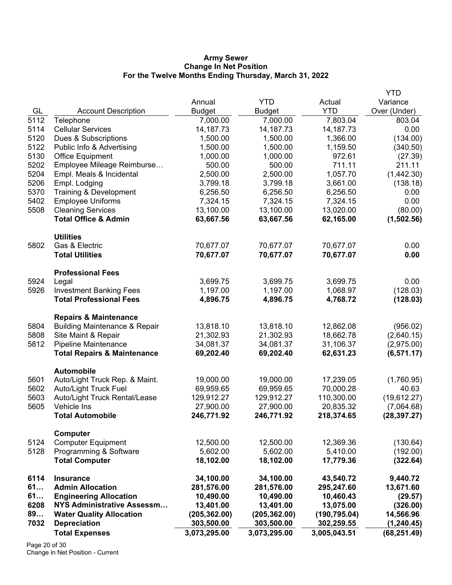#### **Army Sewer Change In Net Position For the Twelve Months Ending Thursday, March 31, 2022**

|              |                                              |                         |                         |                         | <b>YTD</b>                 |
|--------------|----------------------------------------------|-------------------------|-------------------------|-------------------------|----------------------------|
|              |                                              | Annual                  | <b>YTD</b>              | Actual                  | Variance                   |
| GL           | <b>Account Description</b>                   | <b>Budget</b>           | <b>Budget</b>           | <b>YTD</b>              | Over (Under)               |
| 5112         | Telephone                                    | 7,000.00                | 7,000.00                | 7,803.04                | 803.04                     |
| 5114         | <b>Cellular Services</b>                     | 14, 187. 73             | 14, 187. 73             | 14, 187. 73             | 0.00                       |
| 5120         | Dues & Subscriptions                         | 1,500.00                | 1,500.00                | 1,366.00                | (134.00)                   |
| 5122         | Public Info & Advertising                    | 1,500.00                | 1,500.00                | 1,159.50                | (340.50)                   |
| 5130         | <b>Office Equipment</b>                      | 1,000.00                | 1,000.00                | 972.61                  | (27.39)                    |
| 5202         | Employee Mileage Reimburse                   | 500.00                  | 500.00                  | 711.11                  | 211.11                     |
| 5204         | Empl. Meals & Incidental                     | 2,500.00                | 2,500.00                | 1,057.70                | (1,442.30)                 |
| 5206         | Empl. Lodging                                | 3,799.18                | 3,799.18                | 3,661.00                | (138.18)                   |
| 5370         | Training & Development                       | 6,256.50                | 6,256.50                | 6,256.50                | 0.00                       |
| 5402         | <b>Employee Uniforms</b>                     | 7,324.15                | 7,324.15                | 7,324.15                | 0.00                       |
| 5508         | <b>Cleaning Services</b>                     | 13,100.00               | 13,100.00               | 13,020.00               | (80.00)                    |
|              | <b>Total Office &amp; Admin</b>              | 63,667.56               | 63,667.56               | 62,165.00               | (1,502.56)                 |
|              | <b>Utilities</b>                             |                         |                         |                         |                            |
| 5802         | Gas & Electric                               | 70,677.07               | 70,677.07               | 70,677.07               | 0.00                       |
|              | <b>Total Utilities</b>                       | 70,677.07               | 70,677.07               | 70,677.07               | 0.00                       |
|              | <b>Professional Fees</b>                     |                         |                         |                         |                            |
| 5924         | Legal                                        | 3,699.75                | 3,699.75                | 3,699.75                | 0.00                       |
| 5926         | <b>Investment Banking Fees</b>               | 1,197.00                | 1,197.00                | 1,068.97                | (128.03)                   |
|              | <b>Total Professional Fees</b>               | 4,896.75                | 4,896.75                | 4,768.72                | (128.03)                   |
|              | <b>Repairs &amp; Maintenance</b>             |                         |                         |                         |                            |
| 5804         | <b>Building Maintenance &amp; Repair</b>     | 13,818.10               | 13,818.10               | 12,862.08               | (956.02)                   |
| 5808         | Site Maint & Repair                          | 21,302.93               | 21,302.93               | 18,662.78               | (2,640.15)                 |
| 5812         | Pipeline Maintenance                         | 34,081.37               | 34,081.37               | 31,106.37               | (2,975.00)                 |
|              | <b>Total Repairs &amp; Maintenance</b>       | 69,202.40               | 69,202.40               | 62,631.23               | (6, 571.17)                |
|              | <b>Automobile</b>                            |                         |                         |                         |                            |
| 5601         | Auto/Light Truck Rep. & Maint.               | 19,000.00               | 19,000.00               | 17,239.05               | (1,760.95)                 |
| 5602         | <b>Auto/Light Truck Fuel</b>                 | 69,959.65               | 69,959.65               | 70,000.28               | 40.63                      |
| 5603<br>5605 | Auto/Light Truck Rental/Lease<br>Vehicle Ins | 129,912.27<br>27,900.00 | 129,912.27<br>27,900.00 | 110,300.00<br>20,835.32 | (19,612.27)                |
|              | <b>Total Automobile</b>                      | 246,771.92              | 246,771.92              | 218,374.65              | (7,064.68)<br>(28, 397.27) |
|              |                                              |                         |                         |                         |                            |
| 5124         | Computer<br><b>Computer Equipment</b>        | 12,500.00               | 12,500.00               | 12,369.36               | (130.64)                   |
| 5128         | Programming & Software                       | 5,602.00                | 5,602.00                | 5,410.00                | (192.00)                   |
|              | <b>Total Computer</b>                        | 18,102.00               | 18,102.00               | 17,779.36               | (322.64)                   |
| 6114         | <b>Insurance</b>                             | 34,100.00               | 34,100.00               | 43,540.72               | 9,440.72                   |
| 61           | <b>Admin Allocation</b>                      | 281,576.00              | 281,576.00              | 295,247.60              | 13,671.60                  |
| 61           | <b>Engineering Allocation</b>                | 10,490.00               | 10,490.00               | 10,460.43               | (29.57)                    |
| 6208         | <b>NYS Administrative Assessm</b>            | 13,401.00               | 13,401.00               | 13,075.00               | (326.00)                   |
| 89           | <b>Water Quality Allocation</b>              | (205, 362.00)           | (205, 362.00)           | (190, 795.04)           | 14,566.96                  |
| 7032         | <b>Depreciation</b>                          | 303,500.00              | 303,500.00              | 302,259.55              | (1, 240.45)                |
|              | <b>Total Expenses</b>                        | 3,073,295.00            | 3,073,295.00            | 3,005,043.51            | (68, 251.49)               |
|              |                                              |                         |                         |                         |                            |

Page 20 of 30 Change in Net Position - Current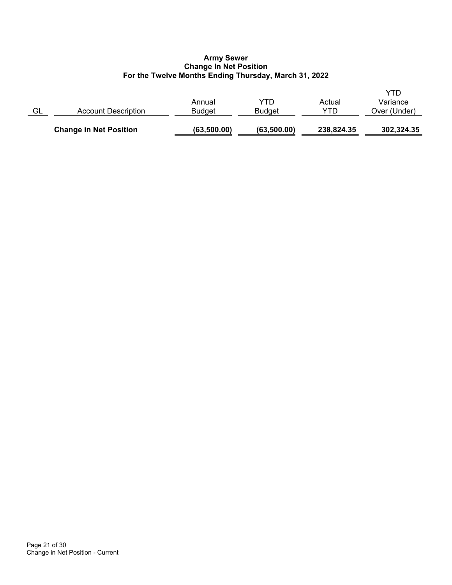## **Army Sewer Change In Net Position For the Twelve Months Ending Thursday, March 31, 2022**

|    | <b>Change in Net Position</b> | (63,500.00)             | (63, 500.00)         | 238,824.35    | 302,324.35                      |
|----|-------------------------------|-------------------------|----------------------|---------------|---------------------------------|
| GL | Account Description           | Annual<br><b>Budget</b> | YTD<br><b>Budget</b> | Actual<br>YTD | YTD<br>Variance<br>Over (Under) |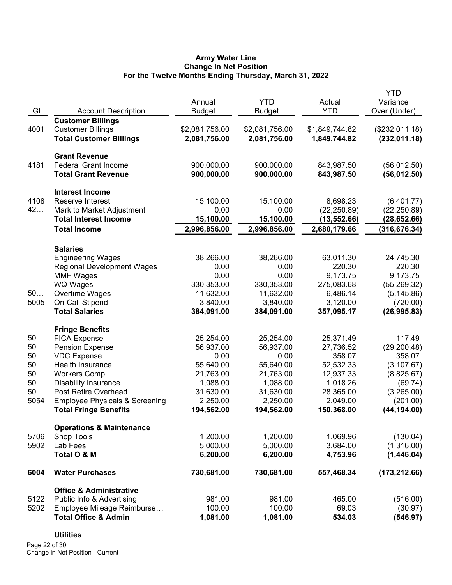## **Army Water Line Change In Net Position For the Twelve Months Ending Thursday, March 31, 2022**

|      |                                           |                |                |                | <b>YTD</b>     |
|------|-------------------------------------------|----------------|----------------|----------------|----------------|
|      |                                           | Annual         | <b>YTD</b>     | Actual         | Variance       |
| GL   | <b>Account Description</b>                | <b>Budget</b>  | <b>Budget</b>  | <b>YTD</b>     | Over (Under)   |
|      | <b>Customer Billings</b>                  |                |                |                |                |
| 4001 | <b>Customer Billings</b>                  | \$2,081,756.00 | \$2,081,756.00 | \$1,849,744.82 | (\$232,011.18) |
|      | <b>Total Customer Billings</b>            | 2,081,756.00   | 2,081,756.00   | 1,849,744.82   | (232, 011.18)  |
|      | <b>Grant Revenue</b>                      |                |                |                |                |
| 4181 | <b>Federal Grant Income</b>               | 900,000.00     | 900,000.00     | 843,987.50     | (56,012.50)    |
|      | <b>Total Grant Revenue</b>                | 900,000.00     | 900,000.00     | 843,987.50     | (56,012.50)    |
|      | <b>Interest Income</b>                    |                |                |                |                |
| 4108 | Reserve Interest                          | 15,100.00      | 15,100.00      | 8,698.23       | (6,401.77)     |
| 42   | Mark to Market Adjustment                 | 0.00           | 0.00           | (22, 250.89)   | (22, 250.89)   |
|      | <b>Total Interest Income</b>              | 15,100.00      | 15,100.00      | (13, 552.66)   | (28,652.66)    |
|      | <b>Total Income</b>                       | 2,996,856.00   | 2,996,856.00   | 2,680,179.66   | (316, 676.34)  |
|      | <b>Salaries</b>                           |                |                |                |                |
|      | <b>Engineering Wages</b>                  | 38,266.00      | 38,266.00      | 63,011.30      | 24,745.30      |
|      | <b>Regional Development Wages</b>         | 0.00           | 0.00           | 220.30         | 220.30         |
|      | <b>MMF Wages</b>                          | 0.00           | 0.00           | 9,173.75       | 9,173.75       |
|      | <b>WQ Wages</b>                           | 330,353.00     | 330,353.00     | 275,083.68     | (55, 269.32)   |
| 50   | Overtime Wages                            | 11,632.00      | 11,632.00      | 6,486.14       | (5, 145.86)    |
| 5005 | On-Call Stipend                           | 3,840.00       | 3,840.00       | 3,120.00       | (720.00)       |
|      | <b>Total Salaries</b>                     | 384,091.00     | 384,091.00     | 357,095.17     | (26, 995.83)   |
|      | <b>Fringe Benefits</b>                    |                |                |                |                |
| 50   | <b>FICA Expense</b>                       | 25,254.00      | 25,254.00      | 25,371.49      | 117.49         |
| 50   | <b>Pension Expense</b>                    | 56,937.00      | 56,937.00      | 27,736.52      | (29, 200.48)   |
| 50   | <b>VDC Expense</b>                        | 0.00           | 0.00           | 358.07         | 358.07         |
| 50   | Health Insurance                          | 55,640.00      | 55,640.00      | 52,532.33      | (3, 107.67)    |
| 50   | <b>Workers Comp</b>                       | 21,763.00      | 21,763.00      | 12,937.33      | (8,825.67)     |
| 50   | <b>Disability Insurance</b>               | 1,088.00       | 1,088.00       | 1,018.26       | (69.74)        |
| 50   | Post Retire Overhead                      | 31,630.00      | 31,630.00      | 28,365.00      | (3,265.00)     |
| 5054 | <b>Employee Physicals &amp; Screening</b> | 2,250.00       | 2,250.00       | 2,049.00       | (201.00)       |
|      | <b>Total Fringe Benefits</b>              | 194,562.00     | 194,562.00     | 150,368.00     | (44, 194.00)   |
|      | <b>Operations &amp; Maintenance</b>       |                |                |                |                |
| 5706 | <b>Shop Tools</b>                         | 1,200.00       | 1,200.00       | 1,069.96       | (130.04)       |
| 5902 | Lab Fees                                  | 5,000.00       | 5,000.00       | 3,684.00       | (1,316.00)     |
|      | Total O & M                               | 6,200.00       | 6,200.00       | 4,753.96       | (1,446.04)     |
| 6004 | <b>Water Purchases</b>                    | 730,681.00     | 730,681.00     | 557,468.34     | (173, 212.66)  |
|      | <b>Office &amp; Administrative</b>        |                |                |                |                |
| 5122 | Public Info & Advertising                 | 981.00         | 981.00         | 465.00         | (516.00)       |
| 5202 | Employee Mileage Reimburse                | 100.00         | 100.00         | 69.03          | (30.97)        |
|      | <b>Total Office &amp; Admin</b>           | 1,081.00       | 1,081.00       | 534.03         | (546.97)       |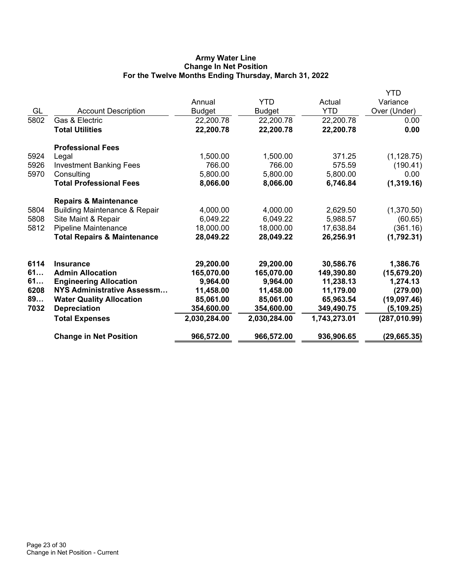# **Army Water Line Change In Net Position For the Twelve Months Ending Thursday, March 31, 2022**

|      |                                          |               |              |              | <b>YTD</b>        |
|------|------------------------------------------|---------------|--------------|--------------|-------------------|
|      |                                          | Annual        | <b>YTD</b>   | Actual       | Variance          |
| GL   | <b>Account Description</b>               | <b>Budget</b> | Budget       | <b>YTD</b>   | Over (Under)      |
| 5802 | Gas & Electric                           | 22,200.78     | 22,200.78    | 22,200.78    | 0.00              |
|      | <b>Total Utilities</b>                   | 22,200.78     | 22,200.78    | 22,200.78    | 0.00              |
|      | <b>Professional Fees</b>                 |               |              |              |                   |
| 5924 | Legal                                    | 1,500.00      | 1,500.00     | 371.25       | (1, 128.75)       |
| 5926 | <b>Investment Banking Fees</b>           | 766.00        | 766.00       | 575.59       | (190.41)          |
| 5970 | Consulting                               | 5,800.00      | 5,800.00     | 5,800.00     | 0.00 <sub>1</sub> |
|      | <b>Total Professional Fees</b>           | 8,066.00      | 8,066.00     | 6,746.84     | (1,319.16)        |
|      | <b>Repairs &amp; Maintenance</b>         |               |              |              |                   |
| 5804 | <b>Building Maintenance &amp; Repair</b> | 4,000.00      | 4,000.00     | 2,629.50     | (1,370.50)        |
| 5808 | Site Maint & Repair                      | 6,049.22      | 6,049.22     | 5,988.57     | (60.65)           |
| 5812 | Pipeline Maintenance                     | 18,000.00     | 18,000.00    | 17,638.84    | (361.16)          |
|      | <b>Total Repairs &amp; Maintenance</b>   | 28,049.22     | 28,049.22    | 26,256.91    | (1,792.31)        |
| 6114 | <b>Insurance</b>                         | 29,200.00     | 29,200.00    | 30,586.76    | 1,386.76          |
| 61   | <b>Admin Allocation</b>                  | 165,070.00    | 165,070.00   | 149,390.80   | (15, 679.20)      |
| 61   | <b>Engineering Allocation</b>            | 9,964.00      | 9,964.00     | 11,238.13    | 1,274.13          |
| 6208 | NYS Administrative Assessm               | 11,458.00     | 11,458.00    | 11,179.00    | (279.00)          |
| 89   | <b>Water Quality Allocation</b>          | 85,061.00     | 85,061.00    | 65,963.54    | (19,097.46)       |
| 7032 | <b>Depreciation</b>                      | 354,600.00    | 354,600.00   | 349,490.75   | (5, 109.25)       |
|      | <b>Total Expenses</b>                    | 2,030,284.00  | 2,030,284.00 | 1,743,273.01 | (287, 010.99)     |
|      | <b>Change in Net Position</b>            | 966,572.00    | 966,572.00   | 936,906.65   | (29, 665.35)      |
|      |                                          |               |              |              |                   |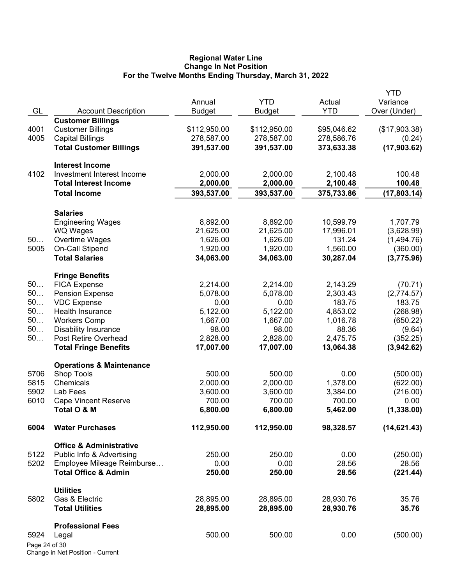#### **Regional Water Line Change In Net Position For the Twelve Months Ending Thursday, March 31, 2022**

|               |                                          |               |               |             | <b>YTD</b>    |
|---------------|------------------------------------------|---------------|---------------|-------------|---------------|
|               |                                          | Annual        | <b>YTD</b>    | Actual      | Variance      |
| GL            | <b>Account Description</b>               | <b>Budget</b> | <b>Budget</b> | <b>YTD</b>  | Over (Under)  |
|               | <b>Customer Billings</b>                 |               |               |             |               |
| 4001          | <b>Customer Billings</b>                 | \$112,950.00  | \$112,950.00  | \$95,046.62 | (\$17,903.38) |
| 4005          | <b>Capital Billings</b>                  | 278,587.00    | 278,587.00    | 278,586.76  | (0.24)        |
|               | <b>Total Customer Billings</b>           | 391,537.00    | 391,537.00    | 373,633.38  | (17,903.62)   |
|               | <b>Interest Income</b>                   |               |               |             |               |
| 4102          | Investment Interest Income               | 2,000.00      | 2,000.00      | 2,100.48    | 100.48        |
|               | <b>Total Interest Income</b>             | 2,000.00      | 2,000.00      | 2,100.48    | 100.48        |
|               | <b>Total Income</b>                      | 393,537.00    | 393,537.00    | 375,733.86  | (17,803.14)   |
|               |                                          |               |               |             |               |
|               | <b>Salaries</b>                          |               |               |             |               |
|               | <b>Engineering Wages</b>                 | 8,892.00      | 8,892.00      | 10,599.79   | 1,707.79      |
|               | <b>WQ Wages</b>                          | 21,625.00     | 21,625.00     | 17,996.01   | (3,628.99)    |
| 50            | Overtime Wages                           | 1,626.00      | 1,626.00      | 131.24      | (1,494.76)    |
| 5005          | On-Call Stipend<br><b>Total Salaries</b> | 1,920.00      | 1,920.00      | 1,560.00    | (360.00)      |
|               |                                          | 34,063.00     | 34,063.00     | 30,287.04   | (3,775.96)    |
|               | <b>Fringe Benefits</b>                   |               |               |             |               |
| 50            | <b>FICA Expense</b>                      | 2,214.00      | 2,214.00      | 2,143.29    | (70.71)       |
| 50            | <b>Pension Expense</b>                   | 5,078.00      | 5,078.00      | 2,303.43    | (2,774.57)    |
| 50            | <b>VDC Expense</b>                       | 0.00          | 0.00          | 183.75      | 183.75        |
| 50            | Health Insurance                         | 5,122.00      | 5,122.00      | 4,853.02    | (268.98)      |
| 50            | <b>Workers Comp</b>                      | 1,667.00      | 1,667.00      | 1,016.78    | (650.22)      |
| 50            | <b>Disability Insurance</b>              | 98.00         | 98.00         | 88.36       | (9.64)        |
| 50            | Post Retire Overhead                     | 2,828.00      | 2,828.00      | 2,475.75    | (352.25)      |
|               | <b>Total Fringe Benefits</b>             | 17,007.00     | 17,007.00     | 13,064.38   | (3,942.62)    |
|               | <b>Operations &amp; Maintenance</b>      |               |               |             |               |
| 5706          | <b>Shop Tools</b>                        | 500.00        | 500.00        | 0.00        | (500.00)      |
| 5815          | Chemicals                                | 2,000.00      | 2,000.00      | 1,378.00    | (622.00)      |
| 5902          | Lab Fees                                 | 3,600.00      | 3,600.00      | 3,384.00    | (216.00)      |
| 6010          | <b>Cape Vincent Reserve</b>              | 700.00        | 700.00        | 700.00      | 0.00          |
|               | Total O & M                              | 6,800.00      | 6,800.00      | 5,462.00    | (1,338.00)    |
| 6004          | <b>Water Purchases</b>                   | 112,950.00    | 112,950.00    | 98,328.57   | (14, 621.43)  |
|               |                                          |               |               |             |               |
|               | <b>Office &amp; Administrative</b>       |               |               |             |               |
| 5122          | Public Info & Advertising                | 250.00        | 250.00        | 0.00        | (250.00)      |
| 5202          | Employee Mileage Reimburse               | 0.00          | 0.00          | 28.56       | 28.56         |
|               | <b>Total Office &amp; Admin</b>          | 250.00        | 250.00        | 28.56       | (221.44)      |
|               | <b>Utilities</b>                         |               |               |             |               |
| 5802          | Gas & Electric                           | 28,895.00     | 28,895.00     | 28,930.76   | 35.76         |
|               | <b>Total Utilities</b>                   | 28,895.00     | 28,895.00     | 28,930.76   | 35.76         |
|               | <b>Professional Fees</b>                 |               |               |             |               |
| 5924          | Legal                                    | 500.00        | 500.00        | 0.00        | (500.00)      |
| Page 24 of 30 |                                          |               |               |             |               |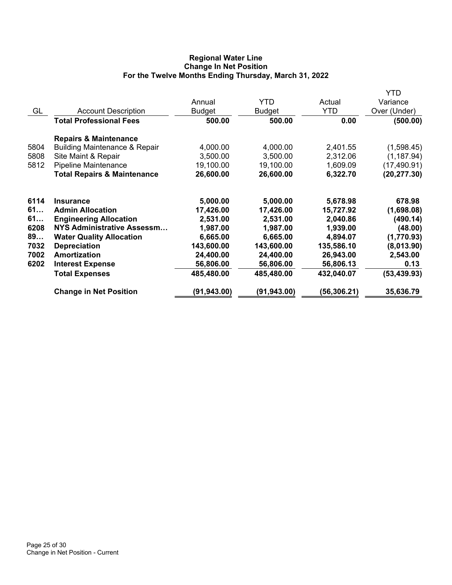# **Regional Water Line Change In Net Position For the Twelve Months Ending Thursday, March 31, 2022**

|      |                                          |               |              |              | YTD          |
|------|------------------------------------------|---------------|--------------|--------------|--------------|
|      |                                          | Annual        | <b>YTD</b>   | Actual       | Variance     |
| GL   | <b>Account Description</b>               | <b>Budget</b> | Budget       | <b>YTD</b>   | Over (Under) |
|      | <b>Total Professional Fees</b>           | 500.00        | 500.00       | 0.00         | (500.00)     |
|      | <b>Repairs &amp; Maintenance</b>         |               |              |              |              |
| 5804 | <b>Building Maintenance &amp; Repair</b> | 4,000.00      | 4,000.00     | 2,401.55     | (1,598.45)   |
| 5808 | Site Maint & Repair                      | 3,500.00      | 3,500.00     | 2,312.06     | (1, 187.94)  |
| 5812 | Pipeline Maintenance                     | 19,100.00     | 19,100.00    | 1,609.09     | (17, 490.91) |
|      | <b>Total Repairs &amp; Maintenance</b>   | 26,600.00     | 26,600.00    | 6,322.70     | (20, 277.30) |
| 6114 | <b>Insurance</b>                         | 5,000.00      | 5,000.00     | 5,678.98     | 678.98       |
| 61   | <b>Admin Allocation</b>                  | 17,426.00     | 17,426.00    | 15,727.92    | (1,698.08)   |
| 61   | <b>Engineering Allocation</b>            | 2,531.00      | 2,531.00     | 2,040.86     | (490.14)     |
| 6208 | NYS Administrative Assessm               | 1,987.00      | 1,987.00     | 1,939.00     | (48.00)      |
| 89   | <b>Water Quality Allocation</b>          | 6,665.00      | 6,665.00     | 4,894.07     | (1,770.93)   |
| 7032 | <b>Depreciation</b>                      | 143,600.00    | 143,600.00   | 135,586.10   | (8,013.90)   |
| 7002 | Amortization                             | 24,400.00     | 24,400.00    | 26,943.00    | 2,543.00     |
| 6202 | <b>Interest Expense</b>                  | 56,806.00     | 56,806.00    | 56,806.13    | 0.13         |
|      | <b>Total Expenses</b>                    | 485,480.00    | 485,480.00   | 432,040.07   | (53, 439.93) |
|      | <b>Change in Net Position</b>            | (91, 943.00)  | (91, 943.00) | (56, 306.21) | 35,636.79    |
|      |                                          |               |              |              |              |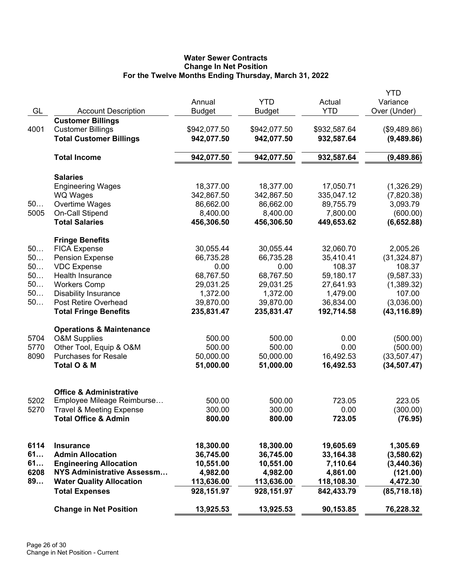# **Water Sewer Contracts Change In Net Position For the Twelve Months Ending Thursday, March 31, 2022**

| GL       |                                                        | Annual                  | <b>YTD</b>              | Actual<br><b>YTD</b>   | YTD<br>Variance<br>Over (Under) |
|----------|--------------------------------------------------------|-------------------------|-------------------------|------------------------|---------------------------------|
|          | <b>Account Description</b><br><b>Customer Billings</b> | <b>Budget</b>           | <b>Budget</b>           |                        |                                 |
| 4001     | <b>Customer Billings</b>                               | \$942,077.50            | \$942,077.50            | \$932,587.64           | (\$9,489.86)                    |
|          | <b>Total Customer Billings</b>                         | 942,077.50              | 942,077.50              | 932,587.64             | (9,489.86)                      |
|          |                                                        |                         |                         |                        |                                 |
|          | <b>Total Income</b>                                    | 942,077.50              | 942,077.50              | 932,587.64             | (9,489.86)                      |
|          | <b>Salaries</b>                                        |                         |                         |                        |                                 |
|          | <b>Engineering Wages</b>                               | 18,377.00               | 18,377.00               | 17,050.71              | (1,326.29)                      |
|          | <b>WQ Wages</b>                                        | 342,867.50              | 342,867.50              | 335,047.12             | (7,820.38)                      |
| 50       | Overtime Wages                                         | 86,662.00               | 86,662.00               | 89,755.79              | 3,093.79                        |
| 5005     | On-Call Stipend                                        | 8,400.00                | 8,400.00                | 7,800.00               | (600.00)                        |
|          | <b>Total Salaries</b>                                  | 456,306.50              | 456,306.50              | 449,653.62             | (6,652.88)                      |
|          | <b>Fringe Benefits</b>                                 |                         |                         |                        |                                 |
| 50       | <b>FICA Expense</b>                                    | 30,055.44               | 30,055.44               | 32,060.70              | 2,005.26                        |
| 50       | <b>Pension Expense</b>                                 | 66,735.28               | 66,735.28               | 35,410.41              | (31, 324.87)                    |
| 50       | <b>VDC</b> Expense                                     | 0.00                    | 0.00                    | 108.37                 | 108.37                          |
| 50       | Health Insurance                                       | 68,767.50               | 68,767.50               | 59,180.17              | (9,587.33)                      |
| 50       | <b>Workers Comp</b>                                    | 29,031.25               | 29,031.25               | 27,641.93              | (1,389.32)                      |
| 50<br>50 | <b>Disability Insurance</b><br>Post Retire Overhead    | 1,372.00                | 1,372.00                | 1,479.00<br>36,834.00  | 107.00                          |
|          | <b>Total Fringe Benefits</b>                           | 39,870.00<br>235,831.47 | 39,870.00<br>235,831.47 | 192,714.58             | (3,036.00)<br>(43, 116.89)      |
|          |                                                        |                         |                         |                        |                                 |
|          | <b>Operations &amp; Maintenance</b>                    |                         |                         |                        |                                 |
| 5704     | <b>O&amp;M Supplies</b>                                | 500.00                  | 500.00                  | 0.00                   | (500.00)                        |
| 5770     | Other Tool, Equip & O&M<br><b>Purchases for Resale</b> | 500.00                  | 500.00                  | 0.00                   | (500.00)                        |
| 8090     | Total O & M                                            | 50,000.00<br>51,000.00  | 50,000.00<br>51,000.00  | 16,492.53<br>16,492.53 | (33,507.47)<br>(34, 507.47)     |
|          |                                                        |                         |                         |                        |                                 |
|          | <b>Office &amp; Administrative</b>                     |                         |                         |                        |                                 |
| 5202     | Employee Mileage Reimburse                             | 500.00                  | 500.00                  | 723.05                 | 223.05                          |
| 5270     | <b>Travel &amp; Meeting Expense</b>                    | 300.00                  | 300.00                  | 0.00                   | (300.00)                        |
|          | <b>Total Office &amp; Admin</b>                        | 800.00                  | 800.00                  | 723.05                 | (76.95)                         |
| 6114     | <b>Insurance</b>                                       | 18,300.00               | 18,300.00               | 19,605.69              | 1,305.69                        |
| 61       | <b>Admin Allocation</b>                                | 36,745.00               | 36,745.00               | 33,164.38              | (3,580.62)                      |
| 61       | <b>Engineering Allocation</b>                          | 10,551.00               | 10,551.00               | 7,110.64               | (3,440.36)                      |
| 6208     | <b>NYS Administrative Assessm</b>                      | 4,982.00                | 4,982.00                | 4,861.00               | (121.00)                        |
| 89       | <b>Water Quality Allocation</b>                        | 113,636.00              | 113,636.00              | 118,108.30             | 4,472.30                        |
|          | <b>Total Expenses</b>                                  | 928,151.97              | 928,151.97              | 842,433.79             | (85, 718.18)                    |
|          | <b>Change in Net Position</b>                          | 13,925.53               | 13,925.53               | 90,153.85              | 76,228.32                       |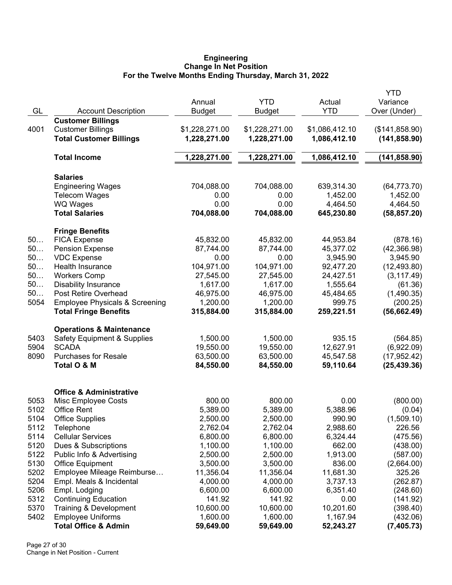#### **Engineering Change In Net Position For the Twelve Months Ending Thursday, March 31, 2022**

|      |                                           |                |                |                | <b>YTD</b>     |
|------|-------------------------------------------|----------------|----------------|----------------|----------------|
|      |                                           | Annual         | <b>YTD</b>     | Actual         | Variance       |
| GL   | <b>Account Description</b>                | <b>Budget</b>  | <b>Budget</b>  | <b>YTD</b>     | Over (Under)   |
|      | <b>Customer Billings</b>                  |                |                |                |                |
| 4001 | <b>Customer Billings</b>                  | \$1,228,271.00 | \$1,228,271.00 | \$1,086,412.10 | (\$141,858.90) |
|      | <b>Total Customer Billings</b>            | 1,228,271.00   | 1,228,271.00   | 1,086,412.10   | (141, 858.90)  |
|      | <b>Total Income</b>                       | 1,228,271.00   | 1,228,271.00   | 1,086,412.10   | (141, 858.90)  |
|      | <b>Salaries</b>                           |                |                |                |                |
|      | <b>Engineering Wages</b>                  | 704,088.00     | 704,088.00     | 639,314.30     | (64, 773.70)   |
|      | <b>Telecom Wages</b>                      | 0.00           | 0.00           | 1,452.00       | 1,452.00       |
|      | <b>WQ Wages</b>                           | 0.00           | 0.00           | 4,464.50       | 4,464.50       |
|      | <b>Total Salaries</b>                     | 704,088.00     | 704,088.00     | 645,230.80     | (58, 857.20)   |
|      | <b>Fringe Benefits</b>                    |                |                |                |                |
| 50   | <b>FICA Expense</b>                       | 45,832.00      | 45,832.00      | 44,953.84      | (878.16)       |
| 50   | <b>Pension Expense</b>                    | 87,744.00      | 87,744.00      | 45,377.02      | (42, 366.98)   |
| 50   | <b>VDC Expense</b>                        | 0.00           | 0.00           | 3,945.90       | 3,945.90       |
| 50   | Health Insurance                          | 104,971.00     | 104,971.00     | 92,477.20      | (12, 493.80)   |
| 50   | <b>Workers Comp</b>                       | 27,545.00      | 27,545.00      | 24,427.51      | (3, 117.49)    |
| 50   | <b>Disability Insurance</b>               | 1,617.00       | 1,617.00       | 1,555.64       | (61.36)        |
| 50   | Post Retire Overhead                      | 46,975.00      | 46,975.00      | 45,484.65      | (1,490.35)     |
| 5054 | <b>Employee Physicals &amp; Screening</b> | 1,200.00       | 1,200.00       | 999.75         | (200.25)       |
|      | <b>Total Fringe Benefits</b>              | 315,884.00     | 315,884.00     | 259,221.51     | (56, 662.49)   |
|      | <b>Operations &amp; Maintenance</b>       |                |                |                |                |
| 5403 | <b>Safety Equipment &amp; Supplies</b>    | 1,500.00       | 1,500.00       | 935.15         | (564.85)       |
| 5904 | <b>SCADA</b>                              | 19,550.00      | 19,550.00      | 12,627.91      | (6,922.09)     |
| 8090 | <b>Purchases for Resale</b>               | 63,500.00      | 63,500.00      | 45,547.58      | (17, 952.42)   |
|      | Total O & M                               | 84,550.00      | 84,550.00      | 59,110.64      | (25, 439.36)   |
|      | <b>Office &amp; Administrative</b>        |                |                |                |                |
| 5053 | Misc Employee Costs                       | 800.00         | 800.00         | 0.00           | (800.00)       |
| 5102 | <b>Office Rent</b>                        | 5,389.00       | 5,389.00       | 5,388.96       | (0.04)         |
| 5104 | <b>Office Supplies</b>                    | 2,500.00       | 2,500.00       | 990.90         | (1,509.10)     |
| 5112 | Telephone                                 | 2,762.04       | 2,762.04       | 2,988.60       | 226.56         |
| 5114 | <b>Cellular Services</b>                  | 6,800.00       | 6,800.00       | 6,324.44       | (475.56)       |
| 5120 | Dues & Subscriptions                      | 1,100.00       | 1,100.00       | 662.00         | (438.00)       |
| 5122 | Public Info & Advertising                 | 2,500.00       | 2,500.00       | 1,913.00       | (587.00)       |
| 5130 | <b>Office Equipment</b>                   | 3,500.00       | 3,500.00       | 836.00         | (2,664.00)     |
| 5202 | Employee Mileage Reimburse                | 11,356.04      | 11,356.04      | 11,681.30      | 325.26         |
| 5204 | Empl. Meals & Incidental                  | 4,000.00       | 4,000.00       | 3,737.13       | (262.87)       |
| 5206 | Empl. Lodging                             | 6,600.00       | 6,600.00       | 6,351.40       | (248.60)       |
| 5312 | <b>Continuing Education</b>               | 141.92         | 141.92         | 0.00           | (141.92)       |
| 5370 | Training & Development                    | 10,600.00      | 10,600.00      | 10,201.60      | (398.40)       |
| 5402 | <b>Employee Uniforms</b>                  | 1,600.00       | 1,600.00       | 1,167.94       | (432.06)       |
|      | <b>Total Office &amp; Admin</b>           | 59,649.00      | 59,649.00      | 52,243.27      | (7, 405.73)    |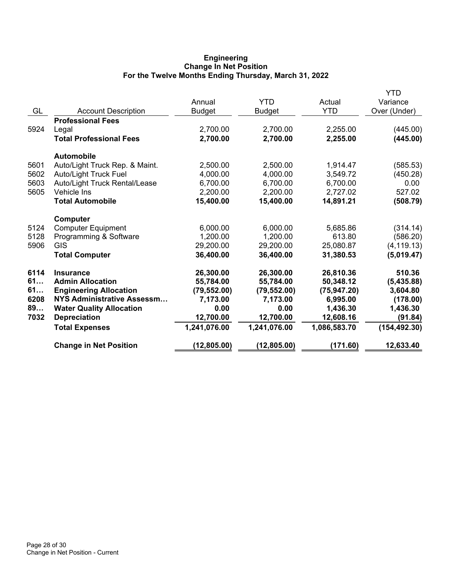## **Engineering Change In Net Position For the Twelve Months Ending Thursday, March 31, 2022**

|                                 |                            |               |                       | YTD                   |
|---------------------------------|----------------------------|---------------|-----------------------|-----------------------|
|                                 | Annual                     | YTD           | Actual                | Variance              |
| <b>Account Description</b>      | <b>Budget</b>              | <b>Budget</b> | <b>YTD</b>            | Over (Under)          |
| <b>Professional Fees</b>        |                            |               |                       |                       |
| Legal                           | 2,700.00                   | 2,700.00      | 2,255.00              | (445.00)              |
| <b>Total Professional Fees</b>  | 2,700.00                   | 2,700.00      | 2,255.00              | (445.00)              |
| <b>Automobile</b>               |                            |               |                       |                       |
| Auto/Light Truck Rep. & Maint.  | 2,500.00                   | 2,500.00      | 1,914.47              | (585.53)              |
| <b>Auto/Light Truck Fuel</b>    | 4,000.00                   | 4,000.00      | 3,549.72              | (450.28)              |
| Auto/Light Truck Rental/Lease   | 6,700.00                   | 6,700.00      | 6,700.00              | 0.00                  |
| Vehicle Ins                     | 2,200.00                   |               | 2,727.02              | 527.02                |
| <b>Total Automobile</b>         | 15,400.00                  | 15,400.00     | 14,891.21             | (508.79)              |
| Computer                        |                            |               |                       |                       |
| <b>Computer Equipment</b>       | 6,000.00                   | 6,000.00      | 5,685.86              | (314.14)              |
| Programming & Software          | 1,200.00                   | 1,200.00      | 613.80                | (586.20)              |
| <b>GIS</b>                      | 29,200.00                  | 29,200.00     | 25,080.87             | (4, 119.13)           |
| <b>Total Computer</b>           | 36,400.00                  | 36,400.00     | 31,380.53             | (5,019.47)            |
| <b>Insurance</b>                | 26,300.00                  | 26,300.00     | 26,810.36             | 510.36                |
| <b>Admin Allocation</b>         | 55,784.00                  | 55,784.00     | 50,348.12             | (5,435.88)            |
| <b>Engineering Allocation</b>   | (79, 552.00)               | (79, 552.00)  | (75, 947.20)          | 3,604.80              |
|                                 | 7,173.00                   | 7,173.00      | 6,995.00              | (178.00)              |
| <b>Water Quality Allocation</b> | 0.00                       | 0.00          |                       | 1,436.30              |
| <b>Depreciation</b>             |                            |               |                       | (91.84)               |
| <b>Total Expenses</b>           | 1,241,076.00               | 1,241,076.00  | 1,086,583.70          | (154, 492.30)         |
| <b>Change in Net Position</b>   | (12, 805.00)               | (12, 805.00)  | (171.60)              | 12,633.40             |
|                                 | NYS Administrative Assessm | 12,700.00     | 2,200.00<br>12,700.00 | 1,436.30<br>12,608.16 |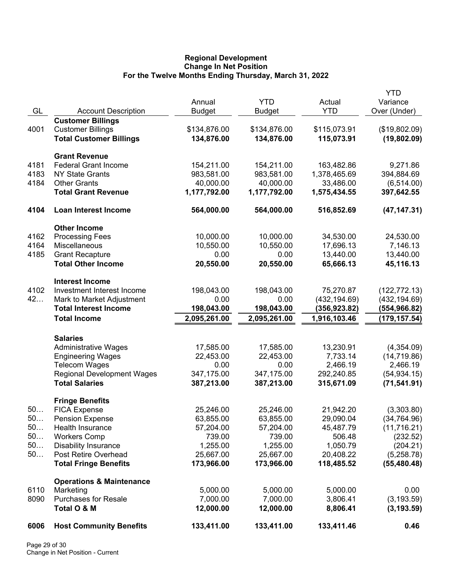## **Regional Development Change In Net Position For the Twelve Months Ending Thursday, March 31, 2022**

|          |                                                     |                            | <b>YTD</b>                 |                              | <b>YTD</b>                    |
|----------|-----------------------------------------------------|----------------------------|----------------------------|------------------------------|-------------------------------|
| GL       | <b>Account Description</b>                          | Annual<br><b>Budget</b>    | <b>Budget</b>              | Actual<br><b>YTD</b>         | Variance<br>Over (Under)      |
|          | <b>Customer Billings</b>                            |                            |                            |                              |                               |
| 4001     | <b>Customer Billings</b>                            | \$134,876.00               | \$134,876.00               | \$115,073.91                 | (\$19,802.09)                 |
|          | <b>Total Customer Billings</b>                      | 134,876.00                 | 134,876.00                 | 115,073.91                   | (19, 802.09)                  |
|          | <b>Grant Revenue</b>                                |                            |                            |                              |                               |
| 4181     | <b>Federal Grant Income</b>                         | 154,211.00                 | 154,211.00                 | 163,482.86                   | 9,271.86                      |
| 4183     | <b>NY State Grants</b>                              | 983,581.00                 | 983,581.00                 | 1,378,465.69                 | 394,884.69                    |
| 4184     | <b>Other Grants</b>                                 | 40,000.00                  | 40,000.00                  | 33,486.00                    | (6,514.00)                    |
|          | <b>Total Grant Revenue</b>                          | 1,177,792.00               | 1,177,792.00               | 1,575,434.55                 | 397,642.55                    |
| 4104     | Loan Interest Income                                | 564,000.00                 | 564,000.00                 | 516,852.69                   | (47, 147.31)                  |
|          | <b>Other Income</b>                                 |                            |                            |                              |                               |
| 4162     | <b>Processing Fees</b>                              | 10,000.00                  | 10,000.00                  | 34,530.00                    | 24,530.00                     |
| 4164     | Miscellaneous                                       | 10,550.00                  | 10,550.00                  | 17,696.13                    | 7,146.13                      |
| 4185     | <b>Grant Recapture</b>                              | 0.00                       | 0.00                       | 13,440.00                    | 13,440.00                     |
|          | <b>Total Other Income</b>                           | 20,550.00                  | 20,550.00                  | 65,666.13                    | 45,116.13                     |
|          | <b>Interest Income</b>                              |                            |                            |                              |                               |
| 4102     | Investment Interest Income                          | 198,043.00                 | 198,043.00                 | 75,270.87                    | (122, 772.13)                 |
| 42       | Mark to Market Adjustment                           | 0.00                       | 0.00                       | (432, 194.69)                | (432, 194.69)                 |
|          | <b>Total Interest Income</b><br><b>Total Income</b> | 198,043.00<br>2,095,261.00 | 198,043.00<br>2,095,261.00 | (356,923.82)<br>1,916,103.46 | (554,966.82)<br>(179, 157.54) |
|          |                                                     |                            |                            |                              |                               |
|          | <b>Salaries</b>                                     |                            |                            |                              |                               |
|          | <b>Administrative Wages</b>                         | 17,585.00                  | 17,585.00                  | 13,230.91                    | (4,354.09)                    |
|          | <b>Engineering Wages</b>                            | 22,453.00                  | 22,453.00                  | 7,733.14                     | (14, 719.86)                  |
|          | <b>Telecom Wages</b>                                | 0.00                       | 0.00                       | 2,466.19                     | 2,466.19                      |
|          | <b>Regional Development Wages</b>                   | 347,175.00                 | 347,175.00                 | 292,240.85                   | (54, 934.15)                  |
|          | <b>Total Salaries</b>                               | 387,213.00                 | 387,213.00                 | 315,671.09                   | (71, 541.91)                  |
|          | <b>Fringe Benefits</b>                              |                            |                            |                              |                               |
| 50       | <b>FICA Expense</b>                                 | 25,246.00                  | 25,246.00                  | 21,942.20                    | (3,303.80)                    |
| 50.      | <b>Pension Expense</b>                              | 63,855.00                  | 63,855.00                  | 29,090.04                    | (34, 764.96)                  |
| 50       | Health Insurance                                    | 57,204.00                  | 57,204.00                  | 45,487.79                    | (11,716.21)                   |
| 50<br>50 | <b>Workers Comp</b>                                 | 739.00                     | 739.00                     | 506.48                       | (232.52)                      |
| 50       | <b>Disability Insurance</b><br>Post Retire Overhead | 1,255.00<br>25,667.00      | 1,255.00<br>25,667.00      | 1,050.79<br>20,408.22        | (204.21)<br>(5,258.78)        |
|          | <b>Total Fringe Benefits</b>                        | 173,966.00                 | 173,966.00                 | 118,485.52                   | (55, 480.48)                  |
|          |                                                     |                            |                            |                              |                               |
| 6110     | <b>Operations &amp; Maintenance</b>                 | 5,000.00                   | 5,000.00                   | 5,000.00                     | 0.00                          |
| 8090     | Marketing<br><b>Purchases for Resale</b>            | 7,000.00                   | 7,000.00                   | 3,806.41                     | (3, 193.59)                   |
|          | Total O & M                                         | 12,000.00                  | 12,000.00                  | 8,806.41                     | (3, 193.59)                   |
| 6006     | <b>Host Community Benefits</b>                      | 133,411.00                 | 133,411.00                 | 133,411.46                   | 0.46                          |
|          |                                                     |                            |                            |                              |                               |